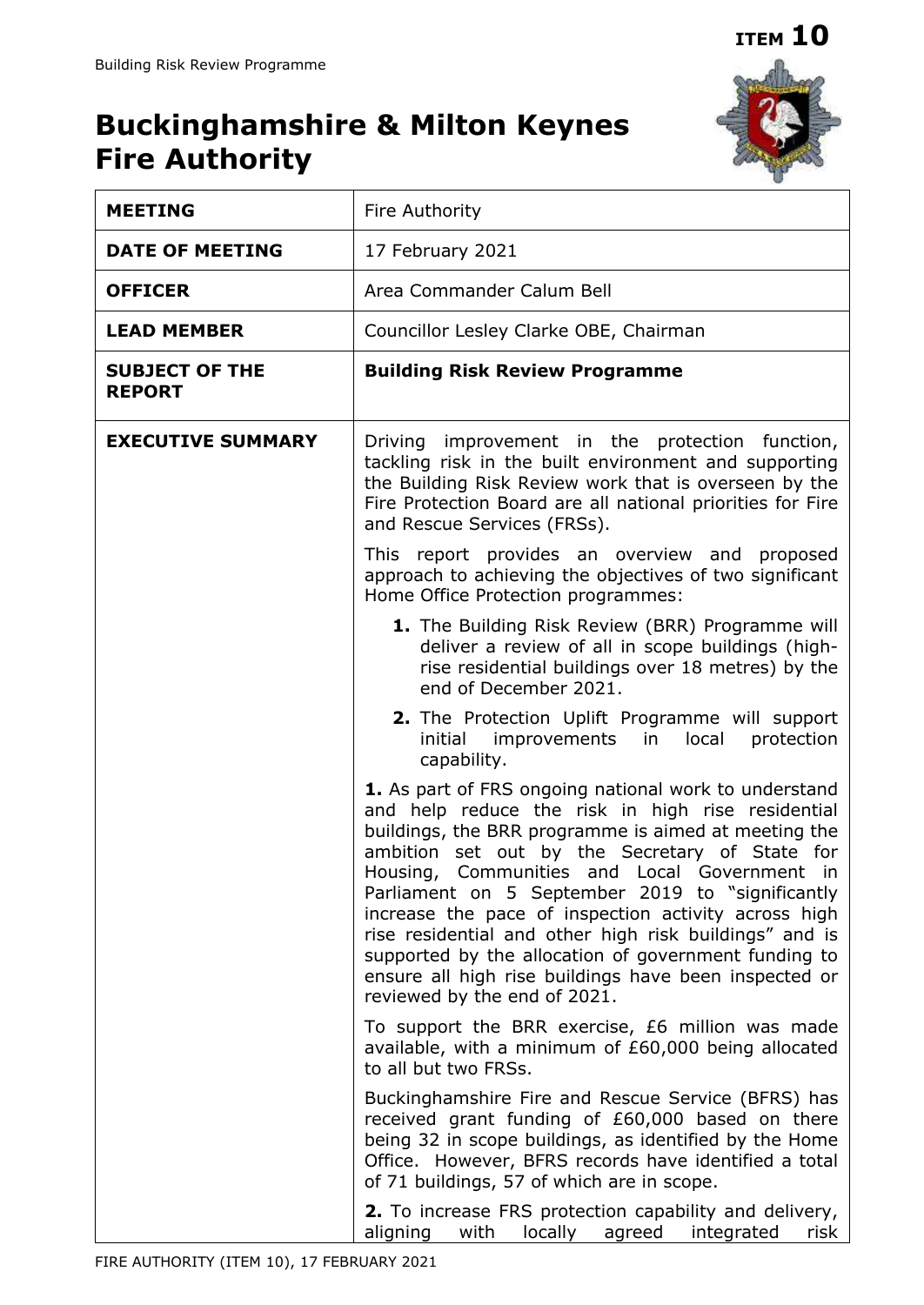# **Buckinghamshire & Milton Keynes Fire Authority**



| <b>MEETING</b>                         | Fire Authority                                                                                                                                                                                                                                                                                                                                                                                                                                                                                                                                                                              |  |
|----------------------------------------|---------------------------------------------------------------------------------------------------------------------------------------------------------------------------------------------------------------------------------------------------------------------------------------------------------------------------------------------------------------------------------------------------------------------------------------------------------------------------------------------------------------------------------------------------------------------------------------------|--|
| <b>DATE OF MEETING</b>                 | 17 February 2021                                                                                                                                                                                                                                                                                                                                                                                                                                                                                                                                                                            |  |
| <b>OFFICER</b>                         | Area Commander Calum Bell                                                                                                                                                                                                                                                                                                                                                                                                                                                                                                                                                                   |  |
| <b>LEAD MEMBER</b>                     | Councillor Lesley Clarke OBE, Chairman                                                                                                                                                                                                                                                                                                                                                                                                                                                                                                                                                      |  |
| <b>SUBJECT OF THE</b><br><b>REPORT</b> | <b>Building Risk Review Programme</b>                                                                                                                                                                                                                                                                                                                                                                                                                                                                                                                                                       |  |
| <b>EXECUTIVE SUMMARY</b>               | Driving improvement in the protection function,<br>tackling risk in the built environment and supporting<br>the Building Risk Review work that is overseen by the<br>Fire Protection Board are all national priorities for Fire<br>and Rescue Services (FRSs).                                                                                                                                                                                                                                                                                                                              |  |
|                                        | This report provides an overview and proposed<br>approach to achieving the objectives of two significant<br>Home Office Protection programmes:                                                                                                                                                                                                                                                                                                                                                                                                                                              |  |
|                                        | 1. The Building Risk Review (BRR) Programme will<br>deliver a review of all in scope buildings (high-<br>rise residential buildings over 18 metres) by the<br>end of December 2021.                                                                                                                                                                                                                                                                                                                                                                                                         |  |
|                                        | 2. The Protection Uplift Programme will support<br>initial improvements in local protection<br>capability.                                                                                                                                                                                                                                                                                                                                                                                                                                                                                  |  |
|                                        | 1. As part of FRS ongoing national work to understand<br>and help reduce the risk in high rise residential<br>buildings, the BRR programme is aimed at meeting the<br>ambition set out by the Secretary of State for<br>Housing, Communities and Local Government in<br>Parliament on 5 September 2019 to "significantly<br>increase the pace of inspection activity across high<br>rise residential and other high risk buildings" and is<br>supported by the allocation of government funding to<br>ensure all high rise buildings have been inspected or<br>reviewed by the end of 2021. |  |
|                                        | To support the BRR exercise, £6 million was made<br>available, with a minimum of £60,000 being allocated<br>to all but two FRSs.                                                                                                                                                                                                                                                                                                                                                                                                                                                            |  |
|                                        | Buckinghamshire Fire and Rescue Service (BFRS) has<br>received grant funding of £60,000 based on there<br>being 32 in scope buildings, as identified by the Home<br>Office. However, BFRS records have identified a total<br>of 71 buildings, 57 of which are in scope.                                                                                                                                                                                                                                                                                                                     |  |
|                                        | <b>2.</b> To increase FRS protection capability and delivery,<br>aligning<br>with<br>agreed<br>integrated<br>locally<br>risk                                                                                                                                                                                                                                                                                                                                                                                                                                                                |  |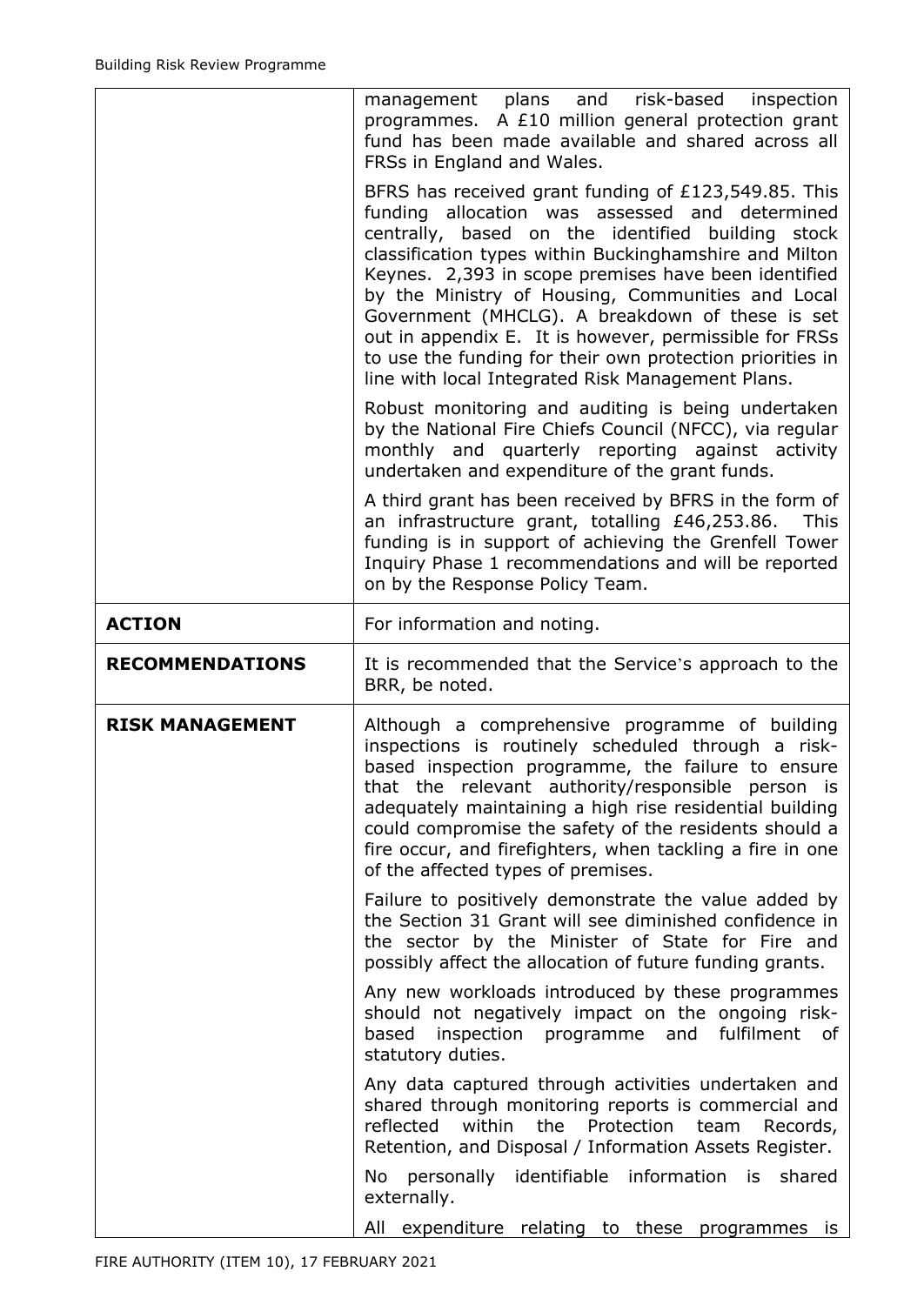|                        | management plans and risk-based<br>inspection<br>programmes. A £10 million general protection grant<br>fund has been made available and shared across all<br>FRSs in England and Wales.                                                                                                                                                                                                                                                                                                                                                                              |  |  |
|------------------------|----------------------------------------------------------------------------------------------------------------------------------------------------------------------------------------------------------------------------------------------------------------------------------------------------------------------------------------------------------------------------------------------------------------------------------------------------------------------------------------------------------------------------------------------------------------------|--|--|
|                        | BFRS has received grant funding of £123,549.85. This<br>funding allocation was assessed and determined<br>centrally, based on the identified<br>building stock<br>classification types within Buckinghamshire and Milton<br>Keynes. 2,393 in scope premises have been identified<br>by the Ministry of Housing, Communities and Local<br>Government (MHCLG). A breakdown of these is set<br>out in appendix E. It is however, permissible for FRSs<br>to use the funding for their own protection priorities in<br>line with local Integrated Risk Management Plans. |  |  |
|                        | Robust monitoring and auditing is being undertaken<br>by the National Fire Chiefs Council (NFCC), via regular<br>monthly and quarterly reporting against activity<br>undertaken and expenditure of the grant funds.                                                                                                                                                                                                                                                                                                                                                  |  |  |
|                        | A third grant has been received by BFRS in the form of<br>an infrastructure grant, totalling £46,253.86.<br><b>This</b><br>funding is in support of achieving the Grenfell Tower<br>Inquiry Phase 1 recommendations and will be reported<br>on by the Response Policy Team.                                                                                                                                                                                                                                                                                          |  |  |
| <b>ACTION</b>          | For information and noting.                                                                                                                                                                                                                                                                                                                                                                                                                                                                                                                                          |  |  |
| <b>RECOMMENDATIONS</b> | It is recommended that the Service's approach to the<br>BRR, be noted.                                                                                                                                                                                                                                                                                                                                                                                                                                                                                               |  |  |
| <b>RISK MANAGEMENT</b> | Although a comprehensive programme of building<br>inspections is routinely scheduled through a risk-<br>based inspection programme, the failure to ensure<br>that the relevant authority/responsible person is<br>adequately maintaining a high rise residential building<br>could compromise the safety of the residents should a<br>fire occur, and firefighters, when tackling a fire in one<br>of the affected types of premises.                                                                                                                                |  |  |
|                        | Failure to positively demonstrate the value added by<br>the Section 31 Grant will see diminished confidence in<br>the sector by the Minister of State for Fire and<br>possibly affect the allocation of future funding grants.                                                                                                                                                                                                                                                                                                                                       |  |  |
|                        | Any new workloads introduced by these programmes                                                                                                                                                                                                                                                                                                                                                                                                                                                                                                                     |  |  |
|                        | should not negatively impact on the ongoing risk-<br>based<br>inspection programme and<br>fulfilment<br>0f<br>statutory duties.                                                                                                                                                                                                                                                                                                                                                                                                                                      |  |  |
|                        | Any data captured through activities undertaken and<br>shared through monitoring reports is commercial and<br>reflected<br>within<br>Protection<br>the<br>team<br>Records,<br>Retention, and Disposal / Information Assets Register.                                                                                                                                                                                                                                                                                                                                 |  |  |
|                        | personally identifiable information is<br>shared<br>No<br>externally.                                                                                                                                                                                                                                                                                                                                                                                                                                                                                                |  |  |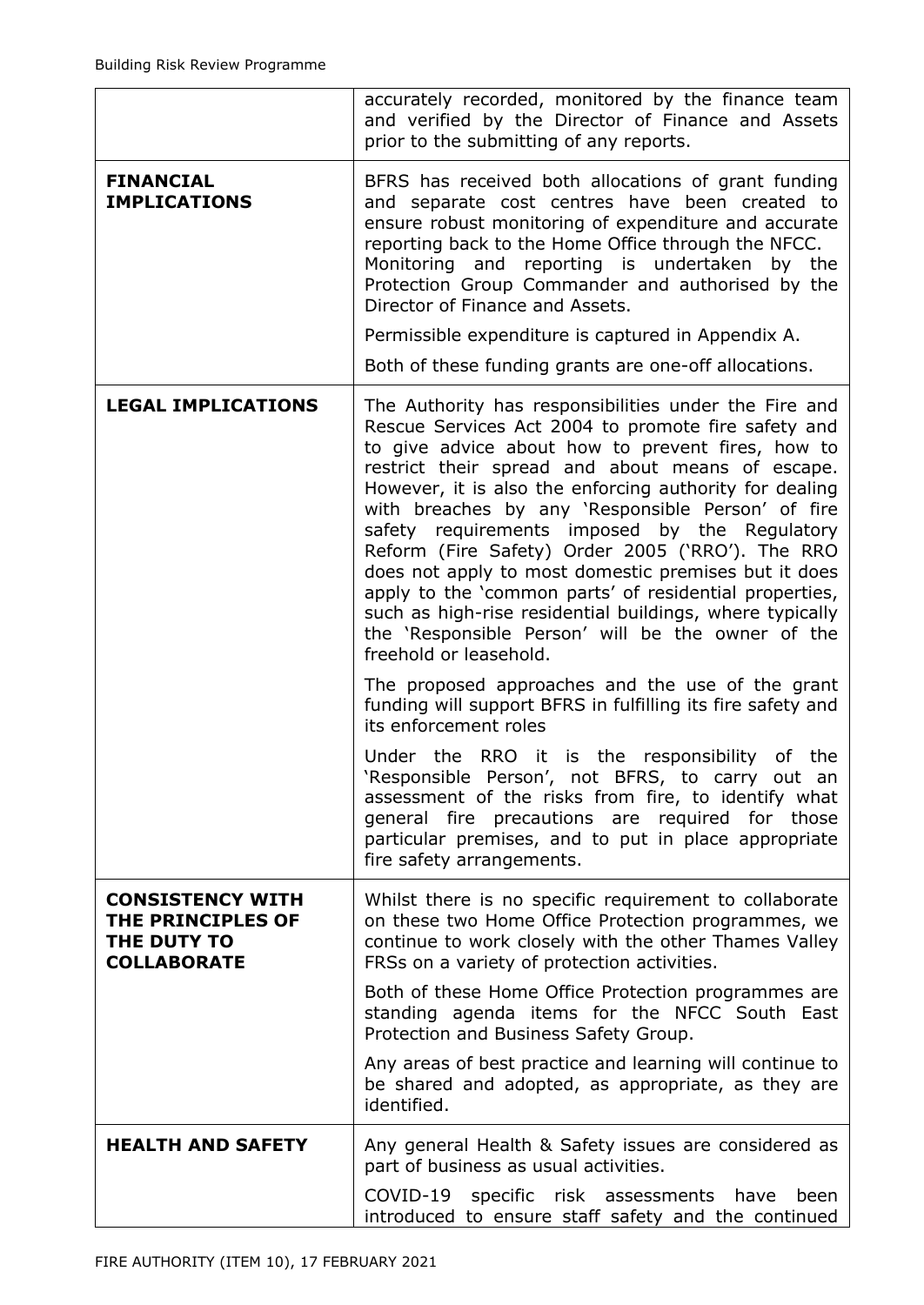|                                                                                   | accurately recorded, monitored by the finance team<br>and verified by the Director of Finance and Assets<br>prior to the submitting of any reports.                                                                                                                                                                                                                                                                                                                                                                                                                                                                                                                                                                                                                                                                                                                                                                                                                                                               |
|-----------------------------------------------------------------------------------|-------------------------------------------------------------------------------------------------------------------------------------------------------------------------------------------------------------------------------------------------------------------------------------------------------------------------------------------------------------------------------------------------------------------------------------------------------------------------------------------------------------------------------------------------------------------------------------------------------------------------------------------------------------------------------------------------------------------------------------------------------------------------------------------------------------------------------------------------------------------------------------------------------------------------------------------------------------------------------------------------------------------|
| <b>FINANCIAL</b><br><b>IMPLICATIONS</b>                                           | BFRS has received both allocations of grant funding<br>and separate cost centres have been created to<br>ensure robust monitoring of expenditure and accurate<br>reporting back to the Home Office through the NFCC.<br>Monitoring and reporting is undertaken by the<br>Protection Group Commander and authorised by the<br>Director of Finance and Assets.<br>Permissible expenditure is captured in Appendix A.<br>Both of these funding grants are one-off allocations.                                                                                                                                                                                                                                                                                                                                                                                                                                                                                                                                       |
| <b>LEGAL IMPLICATIONS</b>                                                         | The Authority has responsibilities under the Fire and<br>Rescue Services Act 2004 to promote fire safety and<br>to give advice about how to prevent fires, how to<br>restrict their spread and about means of escape.<br>However, it is also the enforcing authority for dealing<br>with breaches by any 'Responsible Person' of fire<br>safety requirements imposed by the Regulatory<br>Reform (Fire Safety) Order 2005 ('RRO'). The RRO<br>does not apply to most domestic premises but it does<br>apply to the 'common parts' of residential properties,<br>such as high-rise residential buildings, where typically<br>the 'Responsible Person' will be the owner of the<br>freehold or leasehold.<br>The proposed approaches and the use of the grant<br>funding will support BFRS in fulfilling its fire safety and<br>its enforcement roles<br>Under the RRO it is the responsibility of the<br>'Responsible Person', not BFRS, to carry<br>out an<br>assessment of the risks from fire, to identify what |
|                                                                                   | general fire precautions are required for those<br>particular premises, and to put in place appropriate<br>fire safety arrangements.                                                                                                                                                                                                                                                                                                                                                                                                                                                                                                                                                                                                                                                                                                                                                                                                                                                                              |
| <b>CONSISTENCY WITH</b><br>THE PRINCIPLES OF<br>THE DUTY TO<br><b>COLLABORATE</b> | Whilst there is no specific requirement to collaborate<br>on these two Home Office Protection programmes, we<br>continue to work closely with the other Thames Valley<br>FRSs on a variety of protection activities.                                                                                                                                                                                                                                                                                                                                                                                                                                                                                                                                                                                                                                                                                                                                                                                              |
|                                                                                   | Both of these Home Office Protection programmes are<br>standing agenda items for the NFCC South East<br>Protection and Business Safety Group.                                                                                                                                                                                                                                                                                                                                                                                                                                                                                                                                                                                                                                                                                                                                                                                                                                                                     |
|                                                                                   | Any areas of best practice and learning will continue to<br>be shared and adopted, as appropriate, as they are<br>identified.                                                                                                                                                                                                                                                                                                                                                                                                                                                                                                                                                                                                                                                                                                                                                                                                                                                                                     |
| <b>HEALTH AND SAFETY</b>                                                          | Any general Health & Safety issues are considered as<br>part of business as usual activities.                                                                                                                                                                                                                                                                                                                                                                                                                                                                                                                                                                                                                                                                                                                                                                                                                                                                                                                     |
|                                                                                   | COVID-19 specific risk assessments have<br>been<br>introduced to ensure staff safety and the continued                                                                                                                                                                                                                                                                                                                                                                                                                                                                                                                                                                                                                                                                                                                                                                                                                                                                                                            |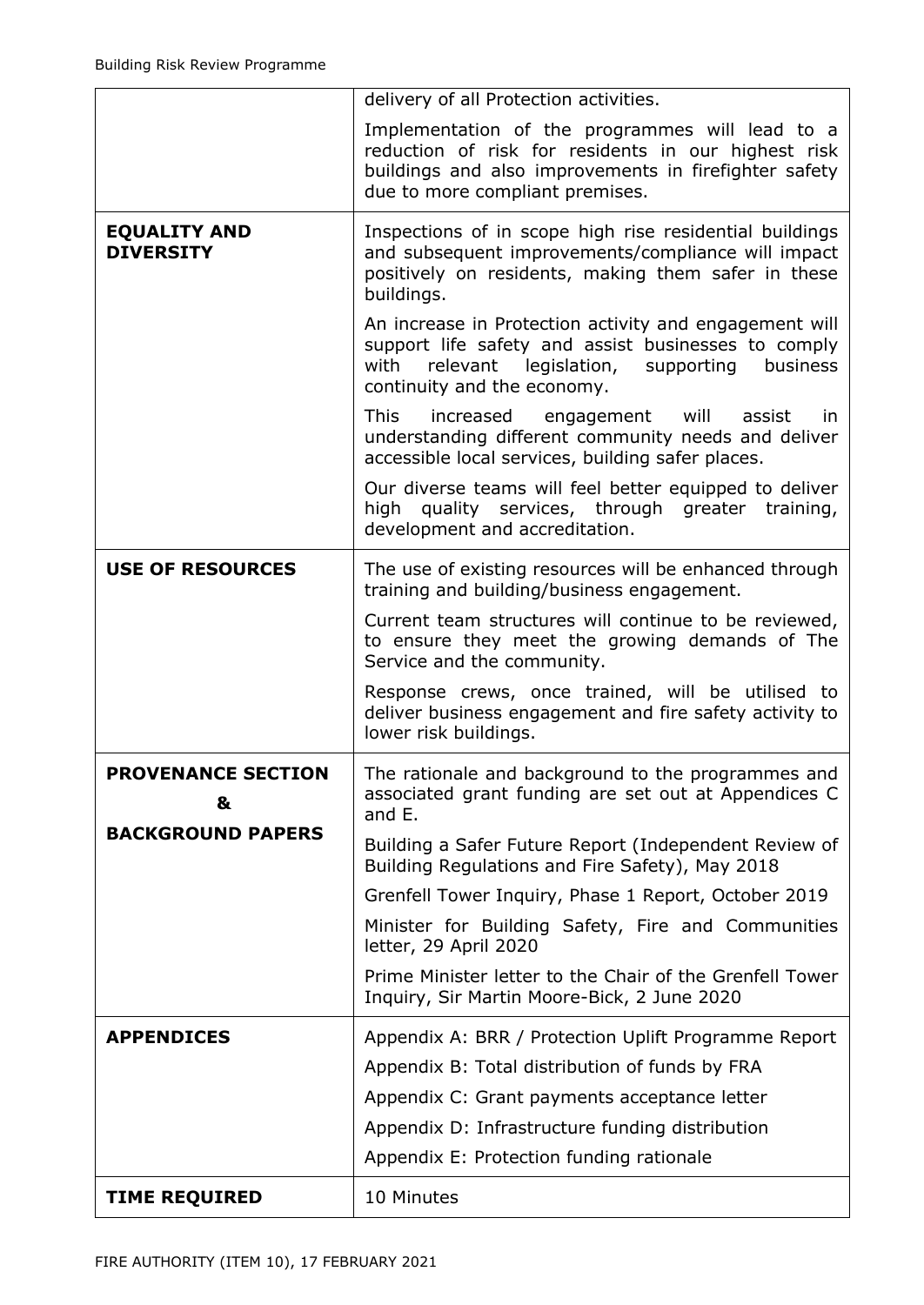|                                         | delivery of all Protection activities.                                                                                                                                                                  |  |
|-----------------------------------------|---------------------------------------------------------------------------------------------------------------------------------------------------------------------------------------------------------|--|
|                                         | Implementation of the programmes will lead to a<br>reduction of risk for residents in our highest risk<br>buildings and also improvements in firefighter safety<br>due to more compliant premises.      |  |
| <b>EQUALITY AND</b><br><b>DIVERSITY</b> | Inspections of in scope high rise residential buildings<br>and subsequent improvements/compliance will impact<br>positively on residents, making them safer in these<br>buildings.                      |  |
|                                         | An increase in Protection activity and engagement will<br>support life safety and assist businesses to comply<br>legislation, supporting<br>with<br>relevant<br>business<br>continuity and the economy. |  |
|                                         | <b>This</b><br>increased<br>will<br>assist<br>engagement<br>in.<br>understanding different community needs and deliver<br>accessible local services, building safer places.                             |  |
|                                         | Our diverse teams will feel better equipped to deliver<br>high quality services, through greater training,<br>development and accreditation.                                                            |  |
| <b>USE OF RESOURCES</b>                 | The use of existing resources will be enhanced through<br>training and building/business engagement.                                                                                                    |  |
|                                         | Current team structures will continue to be reviewed,<br>to ensure they meet the growing demands of The<br>Service and the community.                                                                   |  |
|                                         | Response crews, once trained, will be utilised to<br>deliver business engagement and fire safety activity to<br>lower risk buildings.                                                                   |  |
| <b>PROVENANCE SECTION</b><br>&          | The rationale and background to the programmes and<br>associated grant funding are set out at Appendices C<br>and E.                                                                                    |  |
| <b>BACKGROUND PAPERS</b>                | Building a Safer Future Report (Independent Review of<br>Building Regulations and Fire Safety), May 2018                                                                                                |  |
|                                         | Grenfell Tower Inquiry, Phase 1 Report, October 2019                                                                                                                                                    |  |
|                                         | Minister for Building Safety, Fire and Communities<br>letter, 29 April 2020                                                                                                                             |  |
|                                         | Prime Minister letter to the Chair of the Grenfell Tower<br>Inquiry, Sir Martin Moore-Bick, 2 June 2020                                                                                                 |  |
| <b>APPENDICES</b>                       | Appendix A: BRR / Protection Uplift Programme Report                                                                                                                                                    |  |
|                                         | Appendix B: Total distribution of funds by FRA                                                                                                                                                          |  |
|                                         | Appendix C: Grant payments acceptance letter                                                                                                                                                            |  |
|                                         | Appendix D: Infrastructure funding distribution                                                                                                                                                         |  |
|                                         | Appendix E: Protection funding rationale                                                                                                                                                                |  |
| <b>TIME REQUIRED</b>                    | 10 Minutes                                                                                                                                                                                              |  |
|                                         |                                                                                                                                                                                                         |  |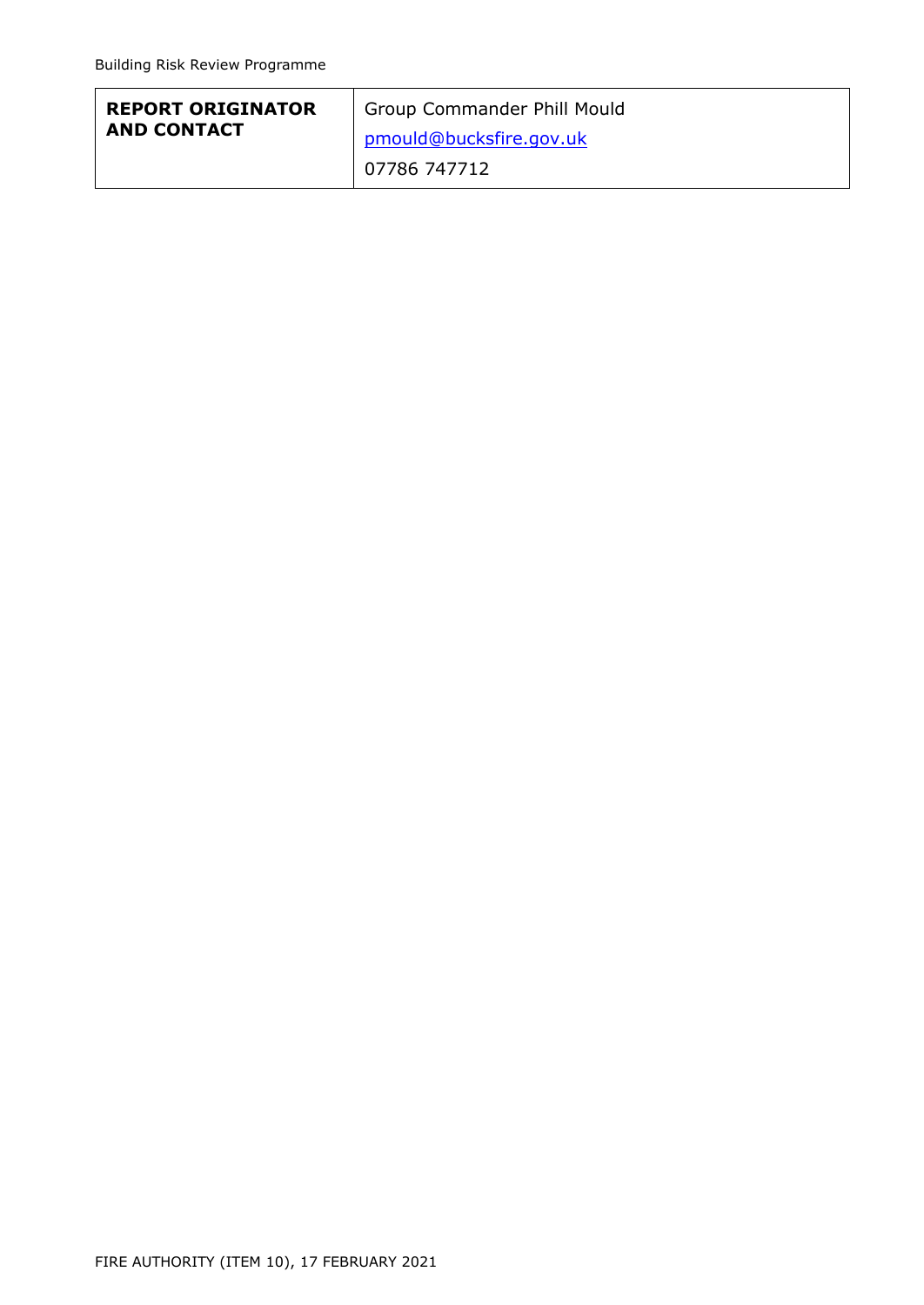| <b>REPORT ORIGINATOR</b> | Group Commander Phill Mould    |
|--------------------------|--------------------------------|
| <b>AND CONTACT</b>       | <u>pmould@bucksfire.gov.uk</u> |
|                          | 07786 747712                   |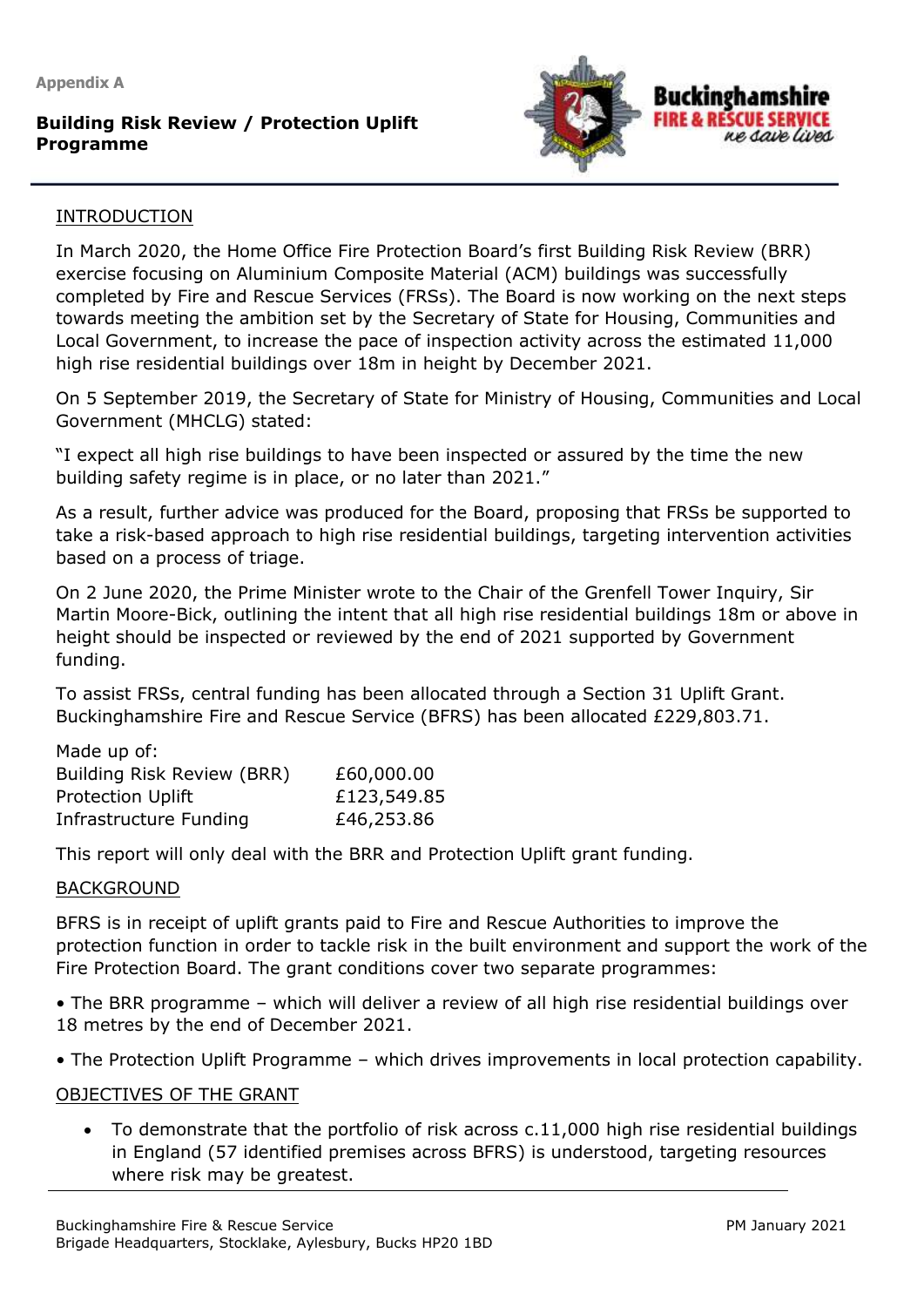**Appendix A**

# **Building Risk Review / Protection Uplift Programme**



#### INTRODUCTION

**12 October 2020**

In March 2020, the Home Office Fire Protection Board's first Building Risk Review (BRR) exercise focusing on Aluminium Composite Material (ACM) buildings was successfully completed by Fire and Rescue Services (FRSs). The Board is now working on the next steps towards meeting the ambition set by the Secretary of State for Housing, Communities and Local Government, to increase the pace of inspection activity across the estimated 11,000 high rise residential buildings over 18m in height by December 2021.

On 5 September 2019, the Secretary of State for Ministry of Housing, Communities and Local Government (MHCLG) stated:

"I expect all high rise buildings to have been inspected or assured by the time the new building safety regime is in place, or no later than 2021."

As a result, further advice was produced for the Board, proposing that FRSs be supported to take a risk-based approach to high rise residential buildings, targeting intervention activities based on a process of triage.

On 2 June 2020, the Prime Minister wrote to the Chair of the Grenfell Tower Inquiry, Sir Martin Moore-Bick, outlining the intent that all high rise residential buildings 18m or above in height should be inspected or reviewed by the end of 2021 supported by Government funding.

To assist FRSs, central funding has been allocated through a Section 31 Uplift Grant. Buckinghamshire Fire and Rescue Service (BFRS) has been allocated £229,803.71.

| Made up of:                |             |
|----------------------------|-------------|
| Building Risk Review (BRR) | £60,000.00  |
| <b>Protection Uplift</b>   | £123,549.85 |
| Infrastructure Funding     | £46,253.86  |

This report will only deal with the BRR and Protection Uplift grant funding.

#### BACKGROUND

BFRS is in receipt of uplift grants paid to Fire and Rescue Authorities to improve the protection function in order to tackle risk in the built environment and support the work of the Fire Protection Board. The grant conditions cover two separate programmes:

• The BRR programme – which will deliver a review of all high rise residential buildings over 18 metres by the end of December 2021.

• The Protection Uplift Programme – which drives improvements in local protection capability.

#### OBJECTIVES OF THE GRANT

• To demonstrate that the portfolio of risk across c.11,000 high rise residential buildings in England (57 identified premises across BFRS) is understood, targeting resources where risk may be greatest.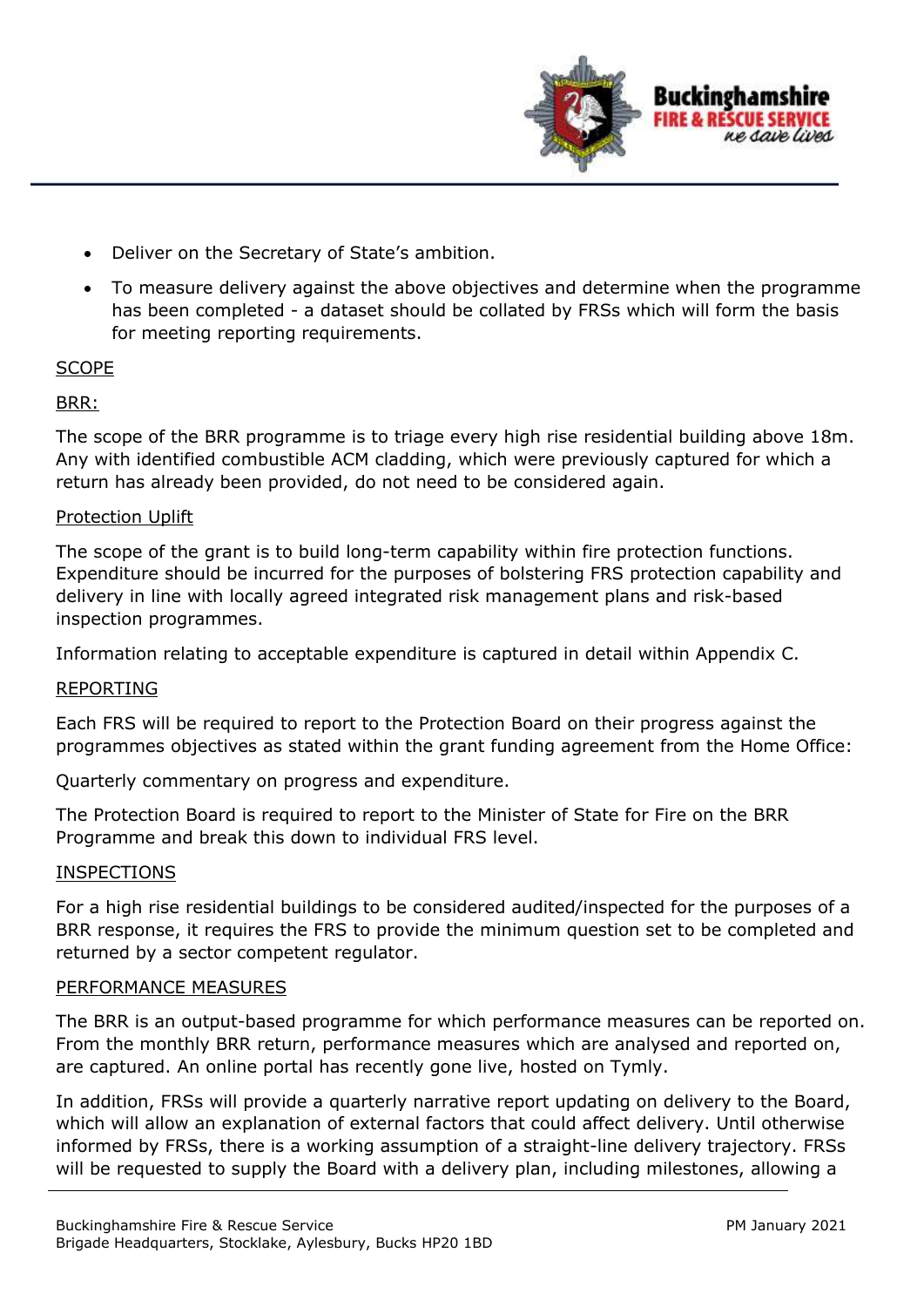

- Deliver on the Secretary of State's ambition.
- To measure delivery against the above objectives and determine when the programme has been completed - a dataset should be collated by FRSs which will form the basis for meeting reporting requirements.

#### **SCOPE**

#### BRR:

The scope of the BRR programme is to triage every high rise residential building above 18m. Any with identified combustible ACM cladding, which were previously captured for which a return has already been provided, do not need to be considered again.

#### Protection Uplift

The scope of the grant is to build long-term capability within fire protection functions. Expenditure should be incurred for the purposes of bolstering FRS protection capability and delivery in line with locally agreed integrated risk management plans and risk-based inspection programmes.

Information relating to acceptable expenditure is captured in detail within Appendix C.

#### REPORTING

Each FRS will be required to report to the Protection Board on their progress against the programmes objectives as stated within the grant funding agreement from the Home Office:

Quarterly commentary on progress and expenditure.

The Protection Board is required to report to the Minister of State for Fire on the BRR Programme and break this down to individual FRS level.

#### INSPECTIONS

For a high rise residential buildings to be considered audited/inspected for the purposes of a BRR response, it requires the FRS to provide the minimum question set to be completed and returned by a sector competent regulator.

#### PERFORMANCE MEASURES

The BRR is an output-based programme for which performance measures can be reported on. From the monthly BRR return, performance measures which are analysed and reported on, are captured. An online portal has recently gone live, hosted on Tymly.

In addition, FRSs will provide a quarterly narrative report updating on delivery to the Board, which will allow an explanation of external factors that could affect delivery. Until otherwise informed by FRSs, there is a working assumption of a straight-line delivery trajectory. FRSs will be requested to supply the Board with a delivery plan, including milestones, allowing a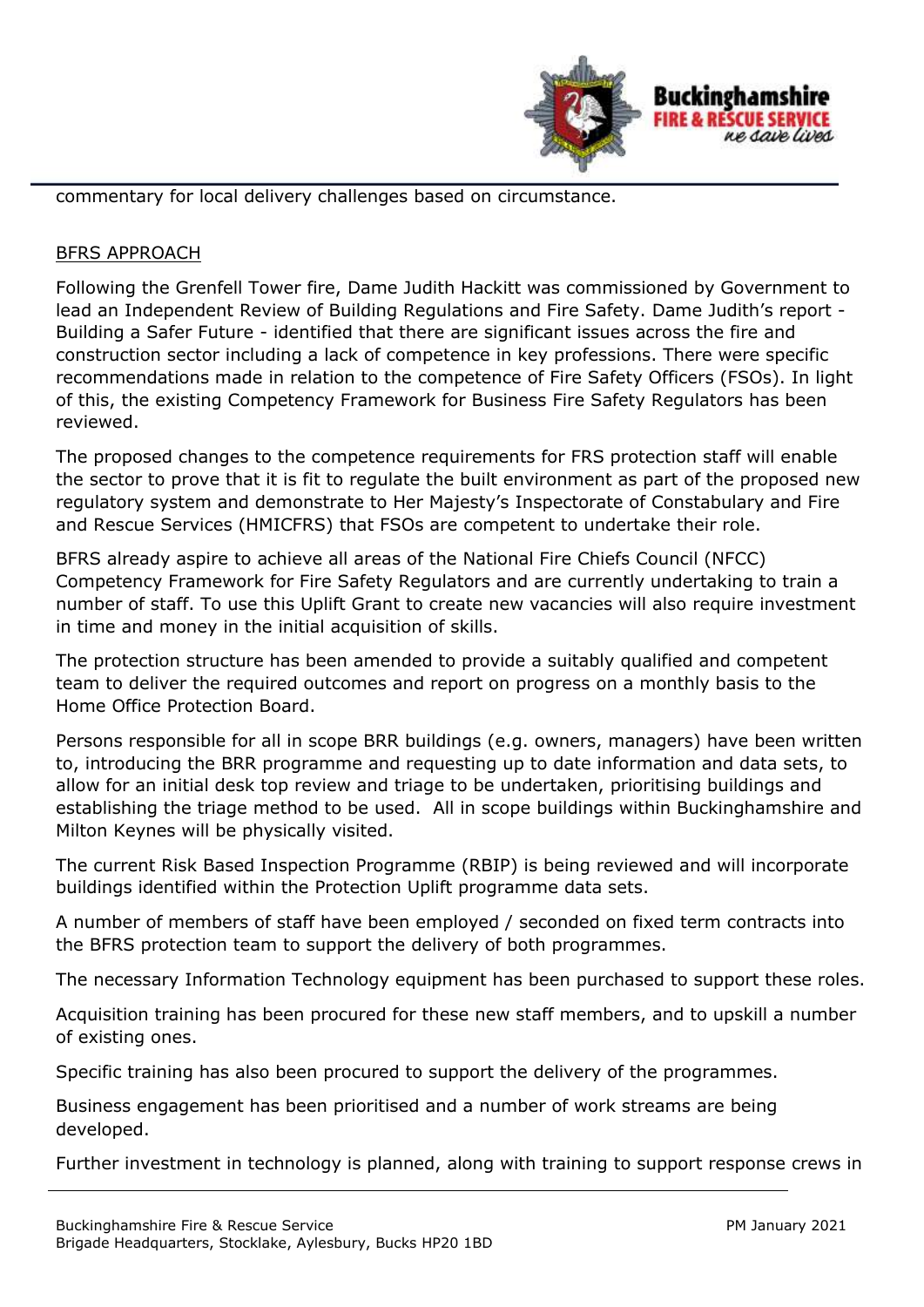

commentary for local delivery challenges based on circumstance.

#### BFRS APPROACH

Following the Grenfell Tower fire, Dame Judith Hackitt was commissioned by Government to lead an Independent Review of Building Regulations and Fire Safety. Dame Judith's report - Building a Safer Future - identified that there are significant issues across the fire and construction sector including a lack of competence in key professions. There were specific recommendations made in relation to the competence of Fire Safety Officers (FSOs). In light of this, the existing Competency Framework for Business Fire Safety Regulators has been reviewed.

The proposed changes to the competence requirements for FRS protection staff will enable the sector to prove that it is fit to regulate the built environment as part of the proposed new regulatory system and demonstrate to Her Majesty's Inspectorate of Constabulary and Fire and Rescue Services (HMICFRS) that FSOs are competent to undertake their role.

BFRS already aspire to achieve all areas of the National Fire Chiefs Council (NFCC) Competency Framework for Fire Safety Regulators and are currently undertaking to train a number of staff. To use this Uplift Grant to create new vacancies will also require investment in time and money in the initial acquisition of skills.

The protection structure has been amended to provide a suitably qualified and competent team to deliver the required outcomes and report on progress on a monthly basis to the Home Office Protection Board.

Persons responsible for all in scope BRR buildings (e.g. owners, managers) have been written to, introducing the BRR programme and requesting up to date information and data sets, to allow for an initial desk top review and triage to be undertaken, prioritising buildings and establishing the triage method to be used. All in scope buildings within Buckinghamshire and Milton Keynes will be physically visited.

The current Risk Based Inspection Programme (RBIP) is being reviewed and will incorporate buildings identified within the Protection Uplift programme data sets.

A number of members of staff have been employed / seconded on fixed term contracts into the BFRS protection team to support the delivery of both programmes.

The necessary Information Technology equipment has been purchased to support these roles.

Acquisition training has been procured for these new staff members, and to upskill a number of existing ones.

Specific training has also been procured to support the delivery of the programmes.

Business engagement has been prioritised and a number of work streams are being developed.

Further investment in technology is planned, along with training to support response crews in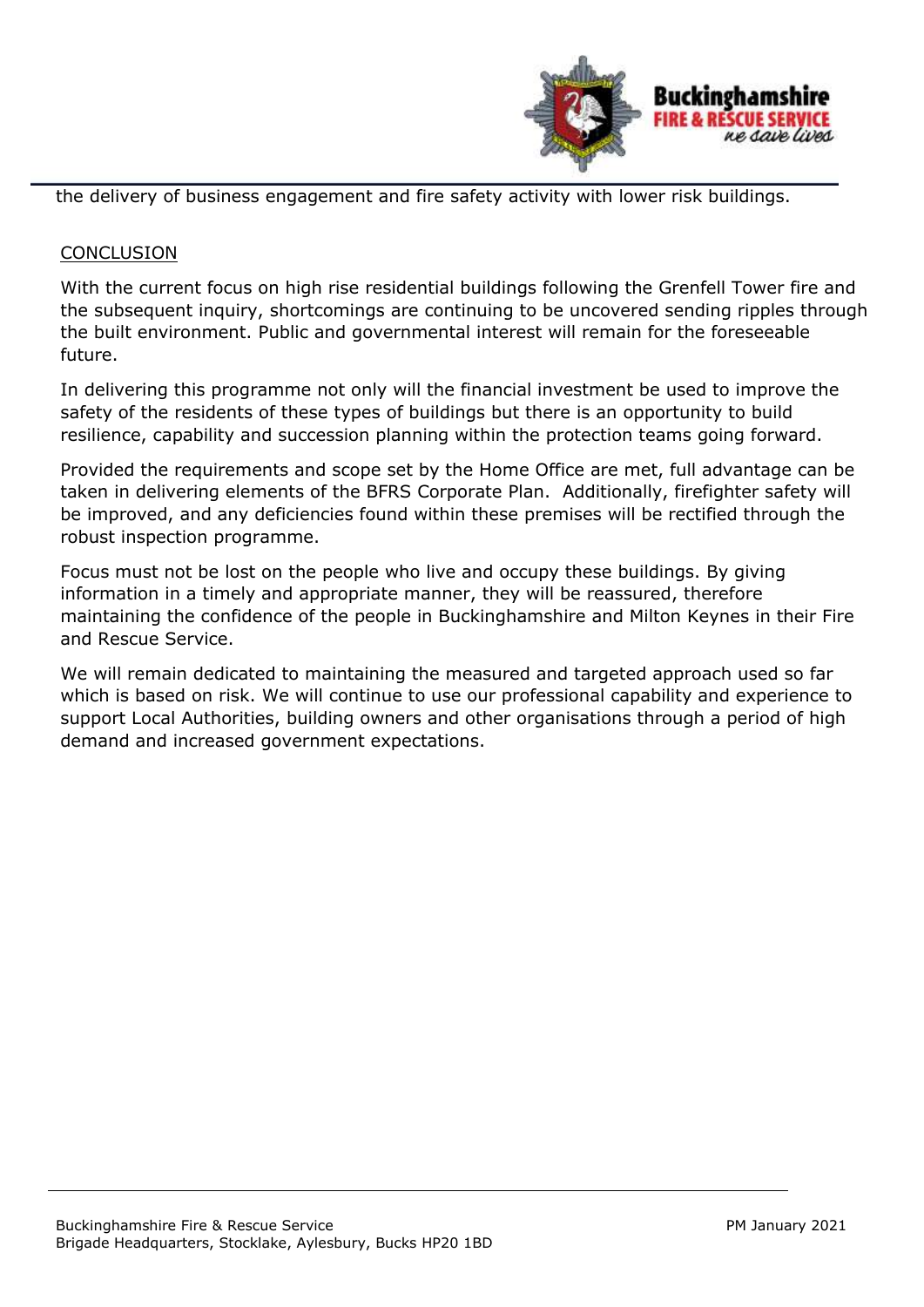

the delivery of business engagement and fire safety activity with lower risk buildings.

#### **CONCLUSION**

With the current focus on high rise residential buildings following the Grenfell Tower fire and the subsequent inquiry, shortcomings are continuing to be uncovered sending ripples through the built environment. Public and governmental interest will remain for the foreseeable future.

In delivering this programme not only will the financial investment be used to improve the safety of the residents of these types of buildings but there is an opportunity to build resilience, capability and succession planning within the protection teams going forward.

Provided the requirements and scope set by the Home Office are met, full advantage can be taken in delivering elements of the BFRS Corporate Plan. Additionally, firefighter safety will be improved, and any deficiencies found within these premises will be rectified through the robust inspection programme.

Focus must not be lost on the people who live and occupy these buildings. By giving information in a timely and appropriate manner, they will be reassured, therefore maintaining the confidence of the people in Buckinghamshire and Milton Keynes in their Fire and Rescue Service.

We will remain dedicated to maintaining the measured and targeted approach used so far which is based on risk. We will continue to use our professional capability and experience to support Local Authorities, building owners and other organisations through a period of high demand and increased government expectations.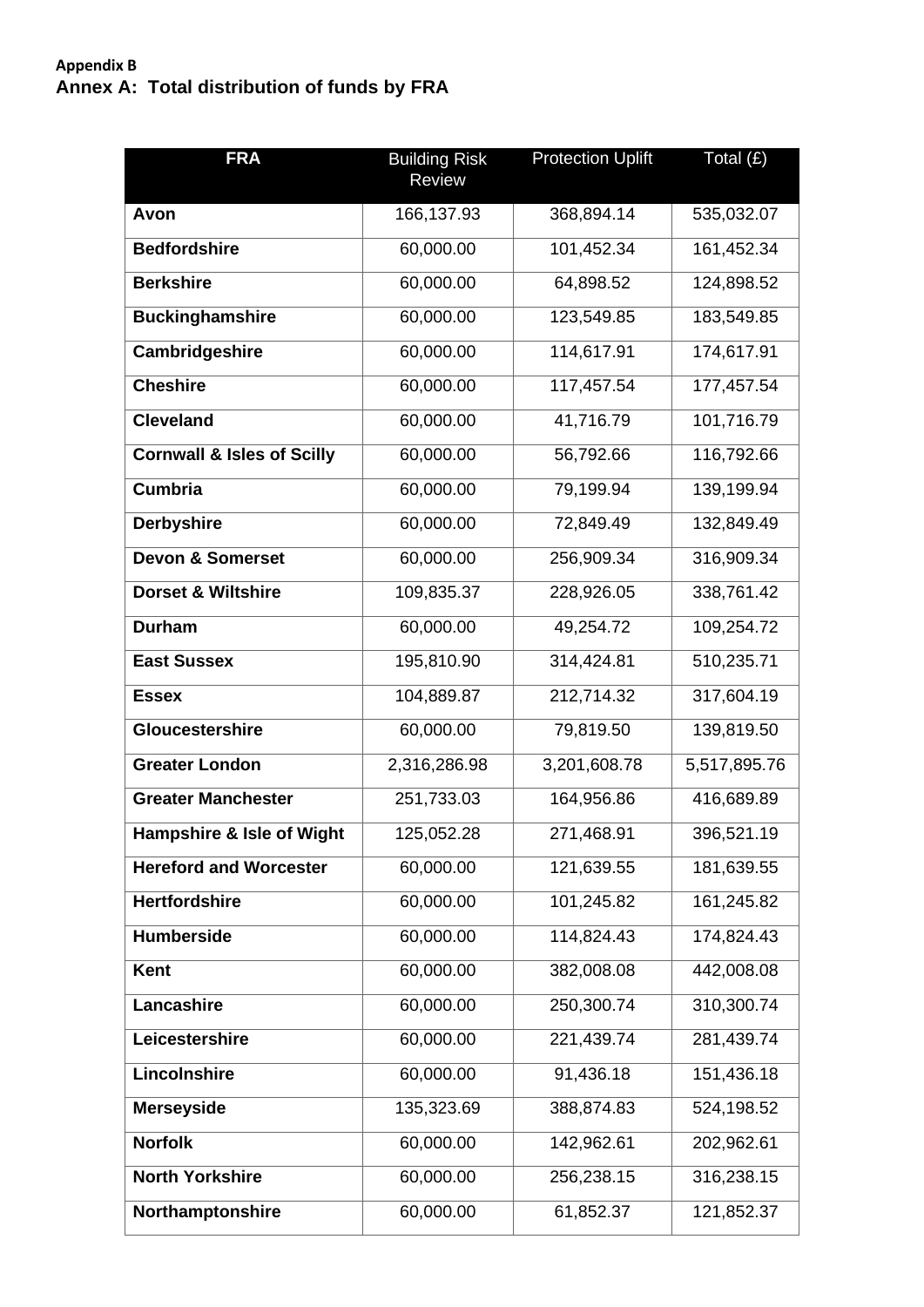# **Appendix B Annex A: Total distribution of funds by FRA**

| <b>FRA</b>                            | <b>Building Risk</b><br><b>Review</b> | <b>Protection Uplift</b> | Total $(E)$  |
|---------------------------------------|---------------------------------------|--------------------------|--------------|
| Avon                                  | 166,137.93                            | 368,894.14               | 535,032.07   |
| <b>Bedfordshire</b>                   | 60,000.00                             | 101,452.34               | 161,452.34   |
| <b>Berkshire</b>                      | 60,000.00                             | 64,898.52                | 124,898.52   |
| <b>Buckinghamshire</b>                | 60,000.00                             | 123,549.85               | 183,549.85   |
| <b>Cambridgeshire</b>                 | 60,000.00                             | 114,617.91               | 174,617.91   |
| <b>Cheshire</b>                       | 60,000.00                             | 117,457.54               | 177,457.54   |
| <b>Cleveland</b>                      | 60,000.00                             | 41,716.79                | 101,716.79   |
| <b>Cornwall &amp; Isles of Scilly</b> | 60,000.00                             | 56,792.66                | 116,792.66   |
| <b>Cumbria</b>                        | 60,000.00                             | 79,199.94                | 139,199.94   |
| <b>Derbyshire</b>                     | 60,000.00                             | 72,849.49                | 132,849.49   |
| <b>Devon &amp; Somerset</b>           | 60,000.00                             | 256,909.34               | 316,909.34   |
| <b>Dorset &amp; Wiltshire</b>         | 109,835.37                            | 228,926.05               | 338,761.42   |
| <b>Durham</b>                         | 60,000.00                             | 49,254.72                | 109,254.72   |
| <b>East Sussex</b>                    | 195,810.90                            | 314,424.81               | 510,235.71   |
| <b>Essex</b>                          | 104,889.87                            | 212,714.32               | 317,604.19   |
| Gloucestershire                       | 60,000.00                             | 79,819.50                | 139,819.50   |
| <b>Greater London</b>                 | 2,316,286.98                          | 3,201,608.78             | 5,517,895.76 |
| <b>Greater Manchester</b>             | 251,733.03                            | 164,956.86               | 416,689.89   |
| <b>Hampshire &amp; Isle of Wight</b>  | 125,052.28                            | 271,468.91               | 396,521.19   |
| <b>Hereford and Worcester</b>         | 60,000.00                             | 121,639.55               | 181,639.55   |
| <b>Hertfordshire</b>                  | 60,000.00                             | 101,245.82               | 161,245.82   |
| <b>Humberside</b>                     | 60,000.00                             | 114,824.43               | 174,824.43   |
| <b>Kent</b>                           | 60,000.00                             | 382,008.08               | 442,008.08   |
| Lancashire                            | 60,000.00                             | 250,300.74               | 310,300.74   |
| Leicestershire                        | 60,000.00                             | 221,439.74               | 281,439.74   |
| Lincolnshire                          | 60,000.00                             | 91,436.18                | 151,436.18   |
| <b>Merseyside</b>                     | 135,323.69                            | 388,874.83               | 524,198.52   |
| <b>Norfolk</b>                        | 60,000.00                             | 142,962.61               | 202,962.61   |
| <b>North Yorkshire</b>                | 60,000.00                             | 256,238.15               | 316,238.15   |
| Northamptonshire                      | 60,000.00                             | 61,852.37                | 121,852.37   |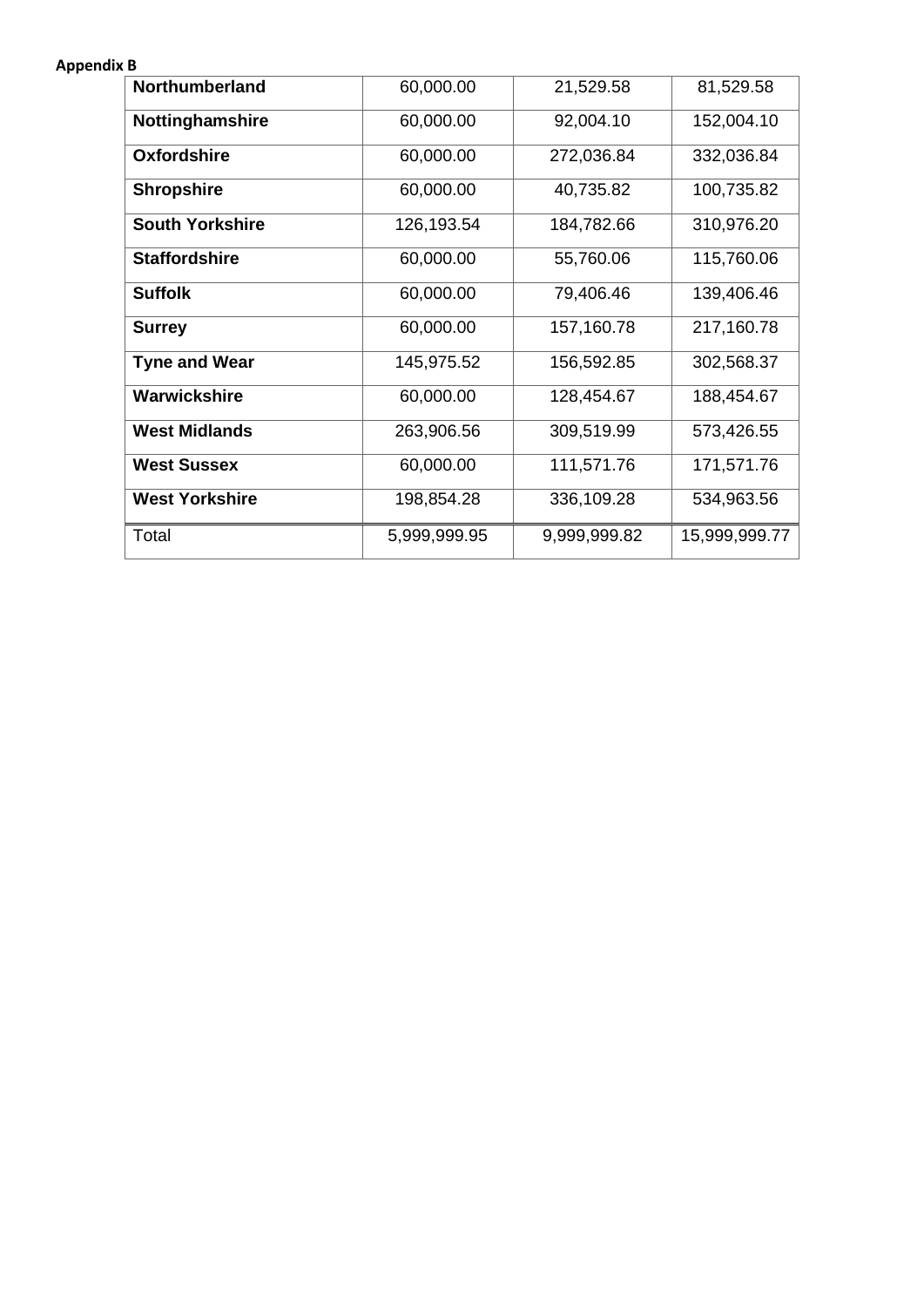#### **Appendix B**

| <b>Northumberland</b>  | 60,000.00    | 21,529.58    | 81,529.58     |
|------------------------|--------------|--------------|---------------|
| Nottinghamshire        | 60,000.00    | 92,004.10    | 152,004.10    |
| <b>Oxfordshire</b>     | 60,000.00    | 272,036.84   | 332,036.84    |
| <b>Shropshire</b>      | 60,000.00    | 40,735.82    | 100,735.82    |
| <b>South Yorkshire</b> | 126,193.54   | 184,782.66   | 310,976.20    |
| <b>Staffordshire</b>   | 60,000.00    | 55,760.06    | 115,760.06    |
| <b>Suffolk</b>         | 60,000.00    | 79,406.46    | 139,406.46    |
| <b>Surrey</b>          | 60,000.00    | 157,160.78   | 217,160.78    |
| <b>Tyne and Wear</b>   | 145,975.52   | 156,592.85   | 302,568.37    |
| Warwickshire           | 60,000.00    | 128,454.67   | 188,454.67    |
| <b>West Midlands</b>   | 263,906.56   | 309,519.99   | 573,426.55    |
| <b>West Sussex</b>     | 60,000.00    | 111,571.76   | 171,571.76    |
| <b>West Yorkshire</b>  | 198,854.28   | 336,109.28   | 534,963.56    |
| Total                  | 5,999,999.95 | 9,999,999.82 | 15,999,999.77 |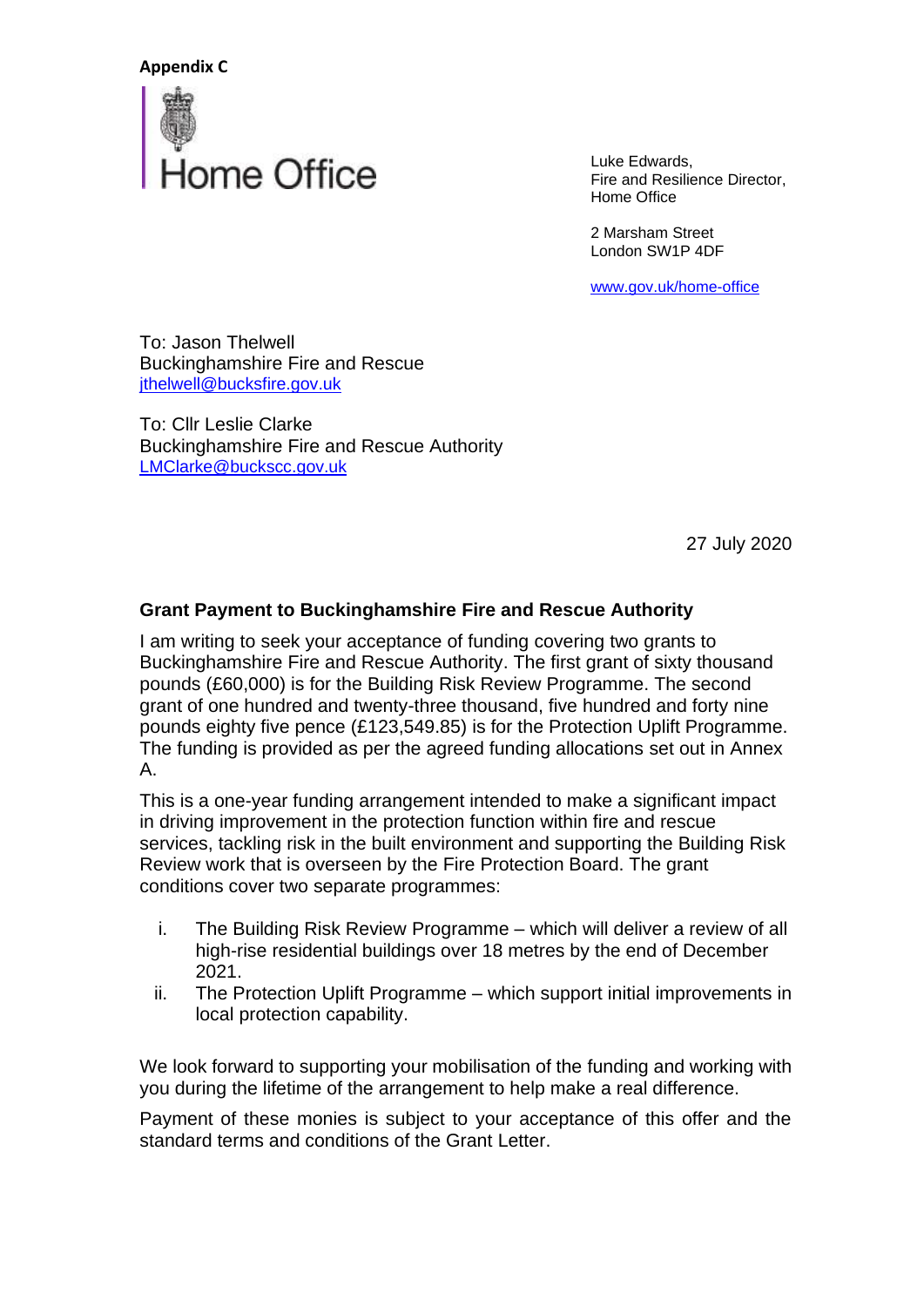

Luke Edwards, Fire and Resilience Director, Home Office

2 Marsham Street London SW1P 4DF

[www.gov.uk/home-o](http://www.gov.uk/home-)ffice

To: Jason Thelwell Buckinghamshire Fire and Rescue [jthelwell@bucksfire.gov.uk](mailto:jthelwell@bucksfire.gov.uk)

To: Cllr Leslie Clarke Buckinghamshire Fire and Rescue Authority [LMClarke@buckscc.gov.uk](mailto:LMClarke@buckscc.gov.uk)

27 July 2020

#### **Grant Payment to Buckinghamshire Fire and Rescue Authority**

I am writing to seek your acceptance of funding covering two grants to Buckinghamshire Fire and Rescue Authority. The first grant of sixty thousand pounds (£60,000) is for the Building Risk Review Programme. The second grant of one hundred and twenty-three thousand, five hundred and forty nine pounds eighty five pence (£123,549.85) is for the Protection Uplift Programme. The funding is provided as per the agreed funding allocations set out in Annex A.

This is a one-year funding arrangement intended to make a significant impact in driving improvement in the protection function within fire and rescue services, tackling risk in the built environment and supporting the Building Risk Review work that is overseen by the Fire Protection Board. The grant conditions cover two separate programmes:

- i. The Building Risk Review Programme which will deliver a review of all high-rise residential buildings over 18 metres by the end of December 2021.
- ii. The Protection Uplift Programme which support initial improvements in local protection capability.

We look forward to supporting your mobilisation of the funding and working with you during the lifetime of the arrangement to help make a real difference.

Payment of these monies is subject to your acceptance of this offer and the standard terms and conditions of the Grant Letter.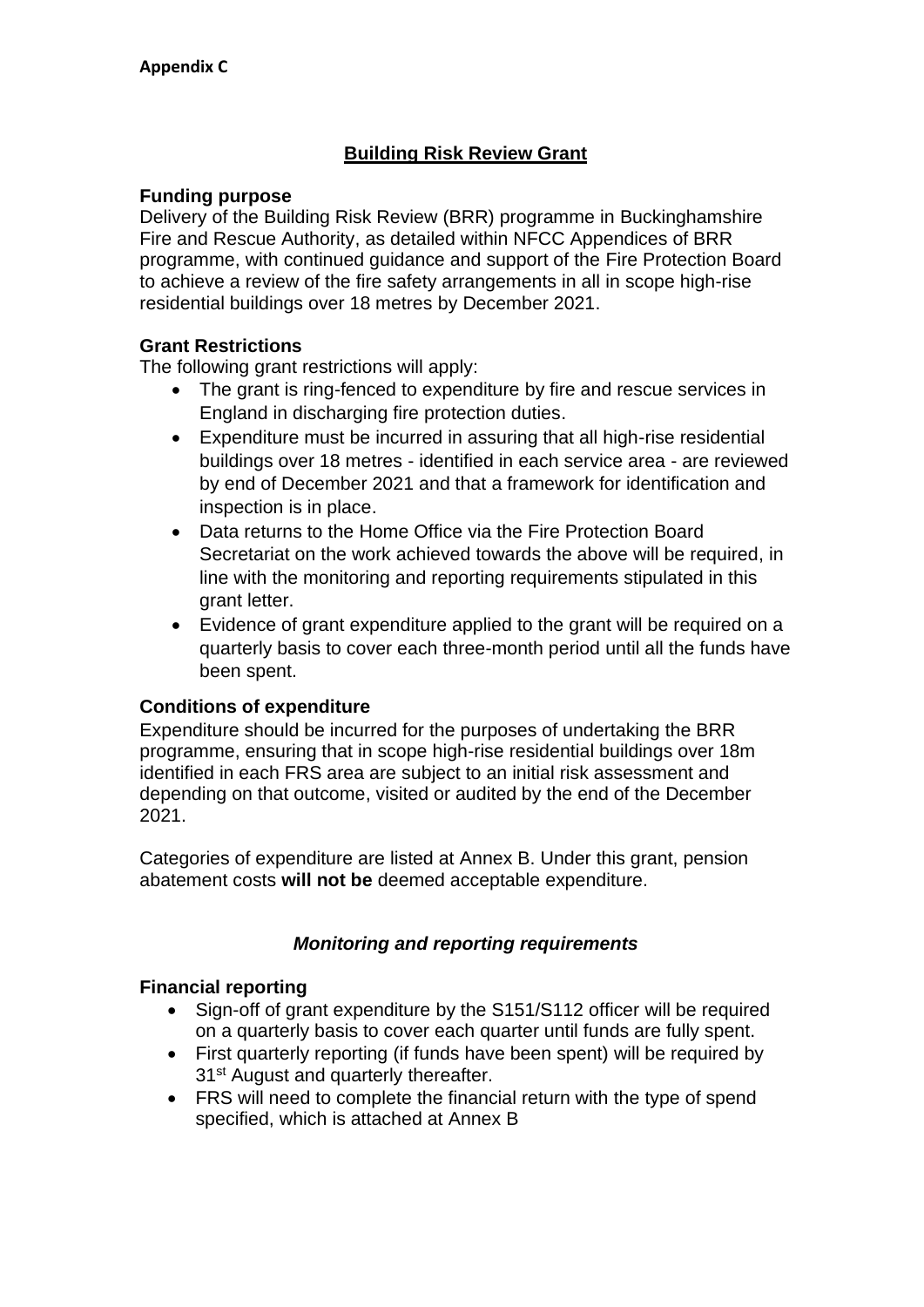# **Building Risk Review Grant**

#### **Funding purpose**

Delivery of the Building Risk Review (BRR) programme in Buckinghamshire Fire and Rescue Authority, as detailed within NFCC Appendices of BRR programme, with continued guidance and support of the Fire Protection Board to achieve a review of the fire safety arrangements in all in scope high-rise residential buildings over 18 metres by December 2021.

### **Grant Restrictions**

The following grant restrictions will apply:

- The grant is ring-fenced to expenditure by fire and rescue services in England in discharging fire protection duties.
- Expenditure must be incurred in assuring that all high-rise residential buildings over 18 metres - identified in each service area - are reviewed by end of December 2021 and that a framework for identification and inspection is in place.
- Data returns to the Home Office via the Fire Protection Board Secretariat on the work achieved towards the above will be required, in line with the monitoring and reporting requirements stipulated in this grant letter.
- Evidence of grant expenditure applied to the grant will be required on a quarterly basis to cover each three-month period until all the funds have been spent.

### **Conditions of expenditure**

Expenditure should be incurred for the purposes of undertaking the BRR programme, ensuring that in scope high-rise residential buildings over 18m identified in each FRS area are subject to an initial risk assessment and depending on that outcome, visited or audited by the end of the December 2021.

Categories of expenditure are listed at Annex B. Under this grant, pension abatement costs **will not be** deemed acceptable expenditure.

### *Monitoring and reporting requirements*

### **Financial reporting**

- Sign-off of grant expenditure by the S151/S112 officer will be required on a quarterly basis to cover each quarter until funds are fully spent.
- First quarterly reporting (if funds have been spent) will be required by 31<sup>st</sup> August and quarterly thereafter.
- FRS will need to complete the financial return with the type of spend specified, which is attached at Annex B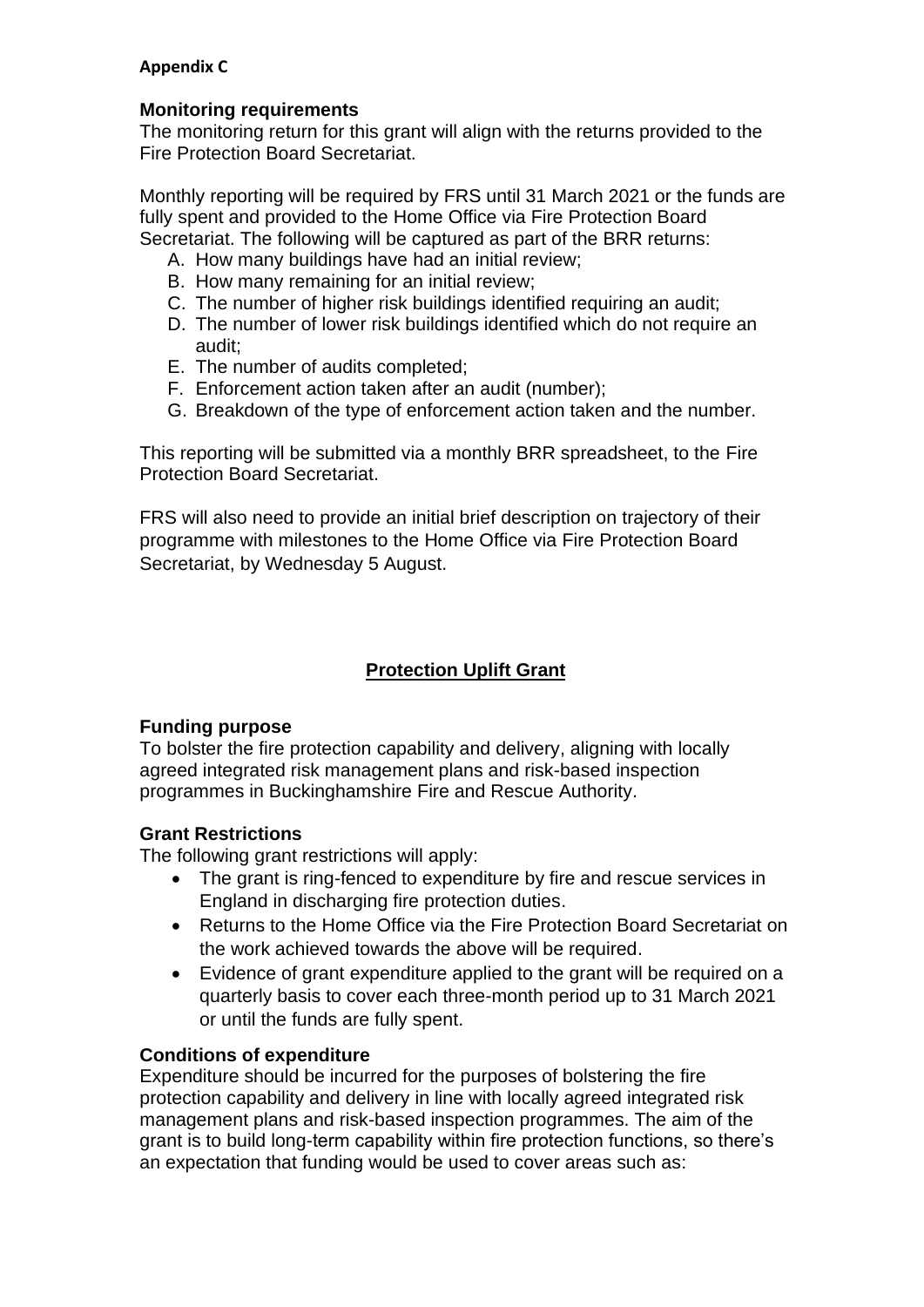#### **Monitoring requirements**

The monitoring return for this grant will align with the returns provided to the Fire Protection Board Secretariat.

Monthly reporting will be required by FRS until 31 March 2021 or the funds are fully spent and provided to the Home Office via Fire Protection Board Secretariat. The following will be captured as part of the BRR returns:

- A. How many buildings have had an initial review;
- B. How many remaining for an initial review;
- C. The number of higher risk buildings identified requiring an audit;
- D. The number of lower risk buildings identified which do not require an audit;
- E. The number of audits completed;
- F. Enforcement action taken after an audit (number);
- G. Breakdown of the type of enforcement action taken and the number.

This reporting will be submitted via a monthly BRR spreadsheet, to the Fire Protection Board Secretariat.

FRS will also need to provide an initial brief description on trajectory of their programme with milestones to the Home Office via Fire Protection Board Secretariat, by Wednesday 5 August.

# **Protection Uplift Grant**

#### **Funding purpose**

To bolster the fire protection capability and delivery, aligning with locally agreed integrated risk management plans and risk-based inspection programmes in Buckinghamshire Fire and Rescue Authority.

### **Grant Restrictions**

The following grant restrictions will apply:

- The grant is ring-fenced to expenditure by fire and rescue services in England in discharging fire protection duties.
- Returns to the Home Office via the Fire Protection Board Secretariat on the work achieved towards the above will be required.
- Evidence of grant expenditure applied to the grant will be required on a quarterly basis to cover each three-month period up to 31 March 2021 or until the funds are fully spent.

### **Conditions of expenditure**

Expenditure should be incurred for the purposes of bolstering the fire protection capability and delivery in line with locally agreed integrated risk management plans and risk-based inspection programmes. The aim of the grant is to build long-term capability within fire protection functions, so there's an expectation that funding would be used to cover areas such as: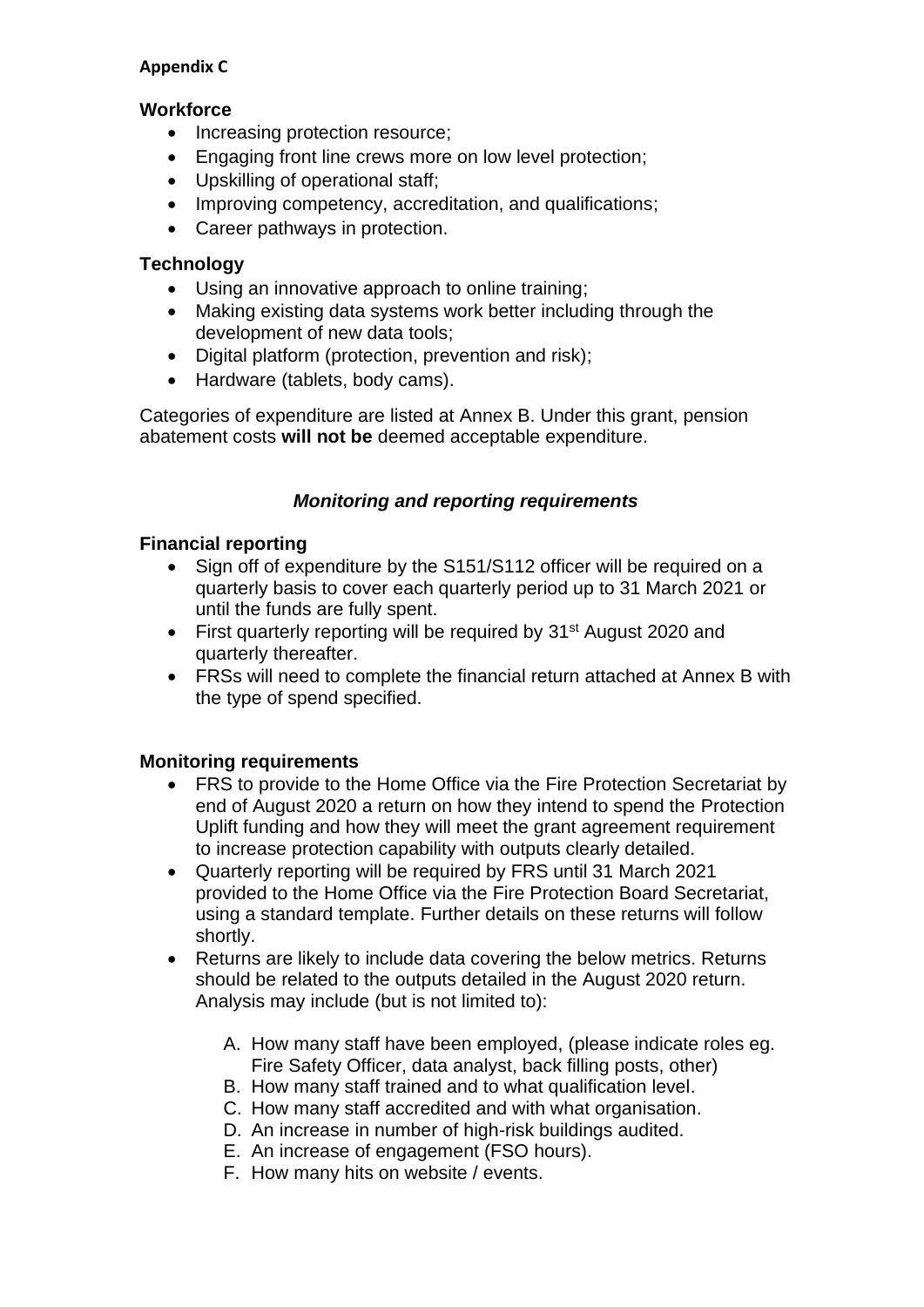#### **Workforce**

- Increasing protection resource;
- Engaging front line crews more on low level protection;
- Upskilling of operational staff;
- Improving competency, accreditation, and qualifications;
- Career pathways in protection.

# **Technology**

- Using an innovative approach to online training;
- Making existing data systems work better including through the development of new data tools;
- Digital platform (protection, prevention and risk);
- Hardware (tablets, body cams).

Categories of expenditure are listed at Annex B. Under this grant, pension abatement costs **will not be** deemed acceptable expenditure.

### *Monitoring and reporting requirements*

### **Financial reporting**

- Sign off of expenditure by the S151/S112 officer will be required on a quarterly basis to cover each quarterly period up to 31 March 2021 or until the funds are fully spent.
- First quarterly reporting will be required by 31<sup>st</sup> August 2020 and quarterly thereafter.
- FRSs will need to complete the financial return attached at Annex B with the type of spend specified.

### **Monitoring requirements**

- FRS to provide to the Home Office via the Fire Protection Secretariat by end of August 2020 a return on how they intend to spend the Protection Uplift funding and how they will meet the grant agreement requirement to increase protection capability with outputs clearly detailed.
- Quarterly reporting will be required by FRS until 31 March 2021 provided to the Home Office via the Fire Protection Board Secretariat, using a standard template. Further details on these returns will follow shortly.
- Returns are likely to include data covering the below metrics. Returns should be related to the outputs detailed in the August 2020 return. Analysis may include (but is not limited to):
	- A. How many staff have been employed, (please indicate roles eg. Fire Safety Officer, data analyst, back filling posts, other)
	- B. How many staff trained and to what qualification level.
	- C. How many staff accredited and with what organisation.
	- D. An increase in number of high-risk buildings audited.
	- E. An increase of engagement (FSO hours).
	- F. How many hits on website / events.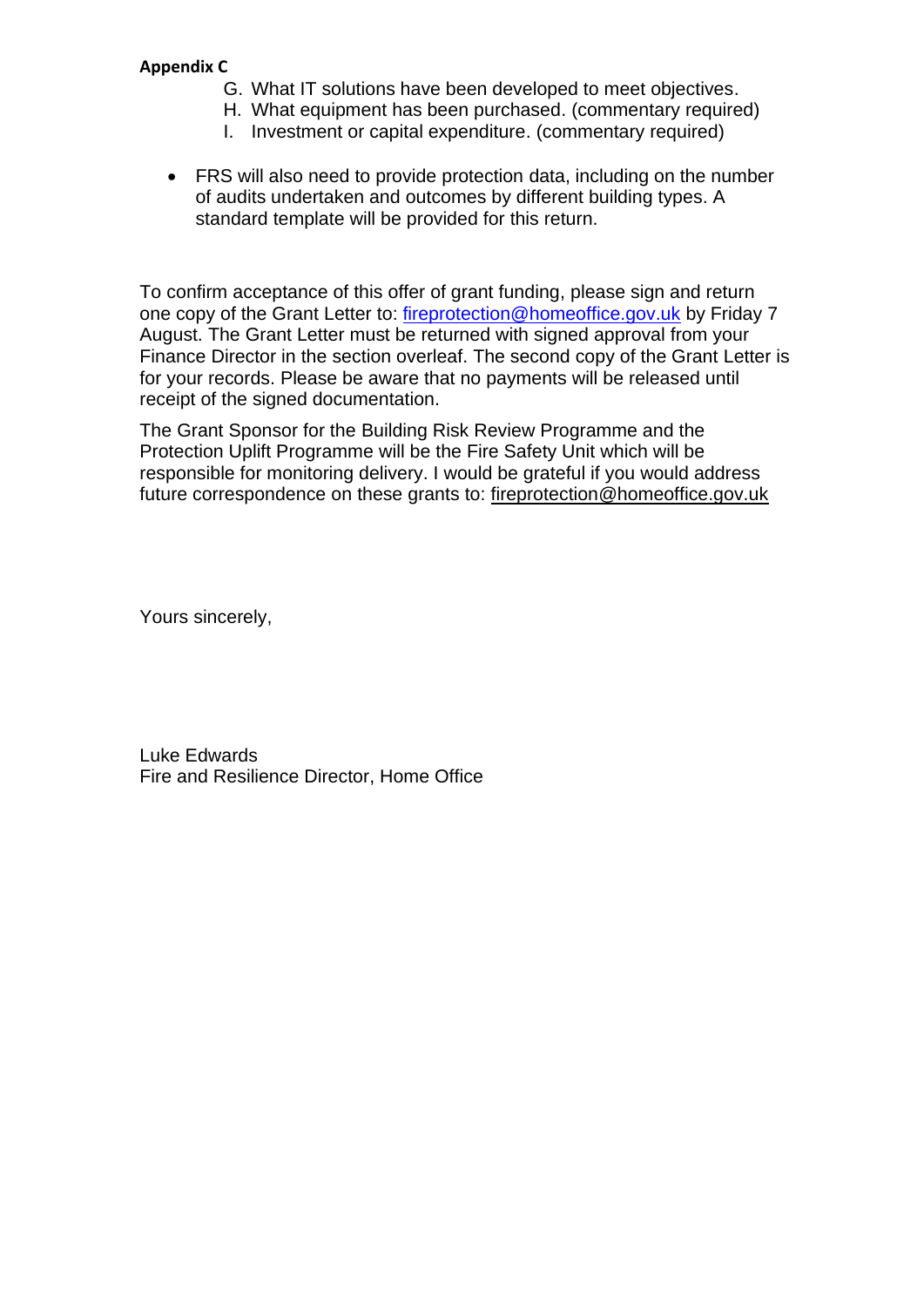- G. What IT solutions have been developed to meet objectives.
- H. What equipment has been purchased. (commentary required)
- I. Investment or capital expenditure. (commentary required)
- FRS will also need to provide protection data, including on the number of audits undertaken and outcomes by different building types. A standard template will be provided for this return.

To confirm acceptance of this offer of grant funding, please sign and return one copy of the Grant Letter to: [fireprotection@homeoffice.gov.uk](mailto:fireprotection@homeoffice.gov.uk) by Friday 7 August. The Grant Letter must be returned with signed approval from your Finance Director in the section overleaf. The second copy of the Grant Letter is for your records. Please be aware that no payments will be released until receipt of the signed documentation.

The Grant Sponsor for the Building Risk Review Programme and the Protection Uplift Programme will be the Fire Safety Unit which will be responsible for monitoring delivery. I would be grateful if you would address future correspondence on these grants to: [fireprotection@homeoffice.gov.uk](mailto:kenneth.luther@homeoffice.gov.uk)

Yours sincerely,

Luke Edwards Fire and Resilience Director, Home Office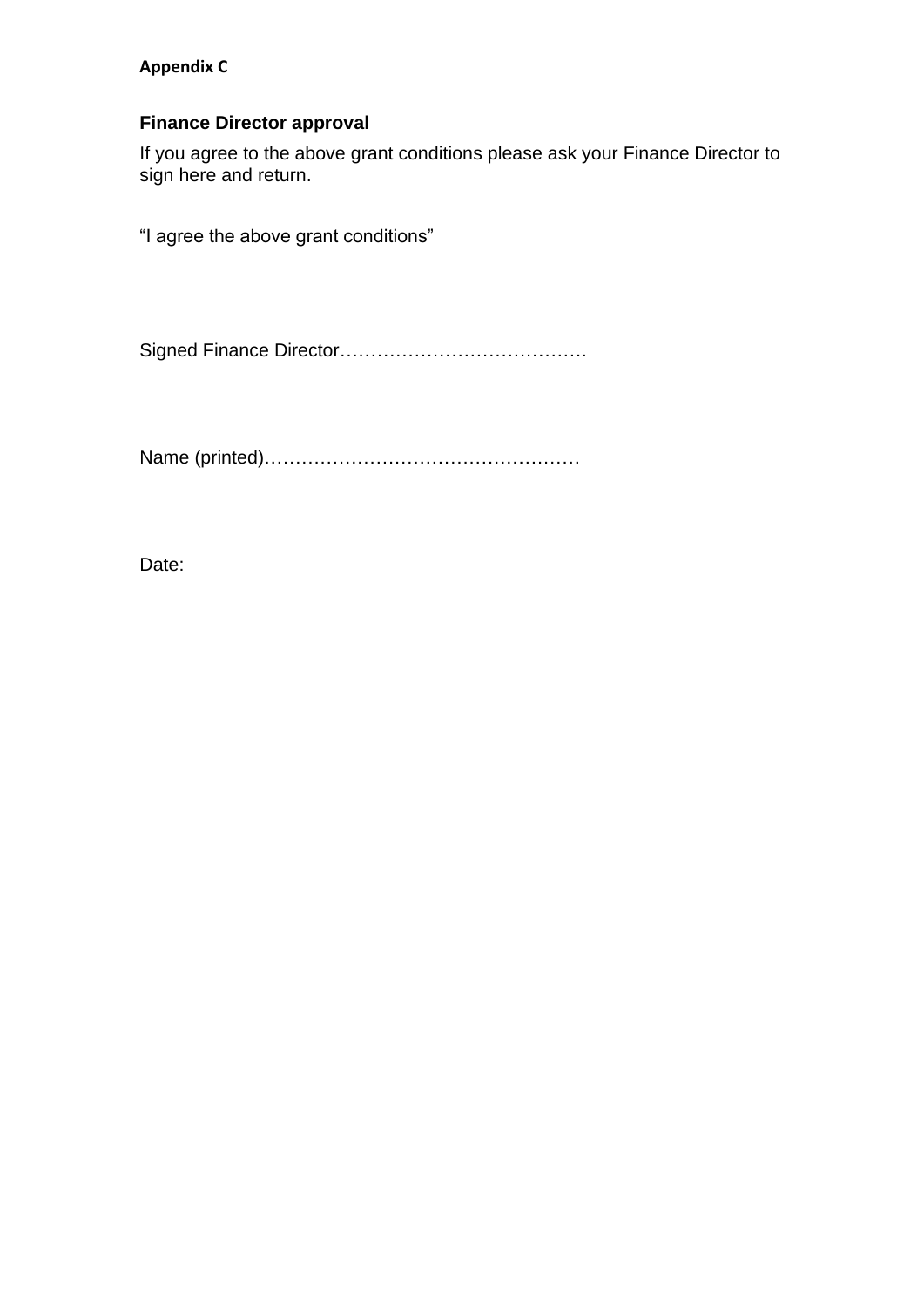### **Finance Director approval**

If you agree to the above grant conditions please ask your Finance Director to sign here and return.

"I agree the above grant conditions"

Signed Finance Director………………………………….

Name (printed)……………………………………………

Date: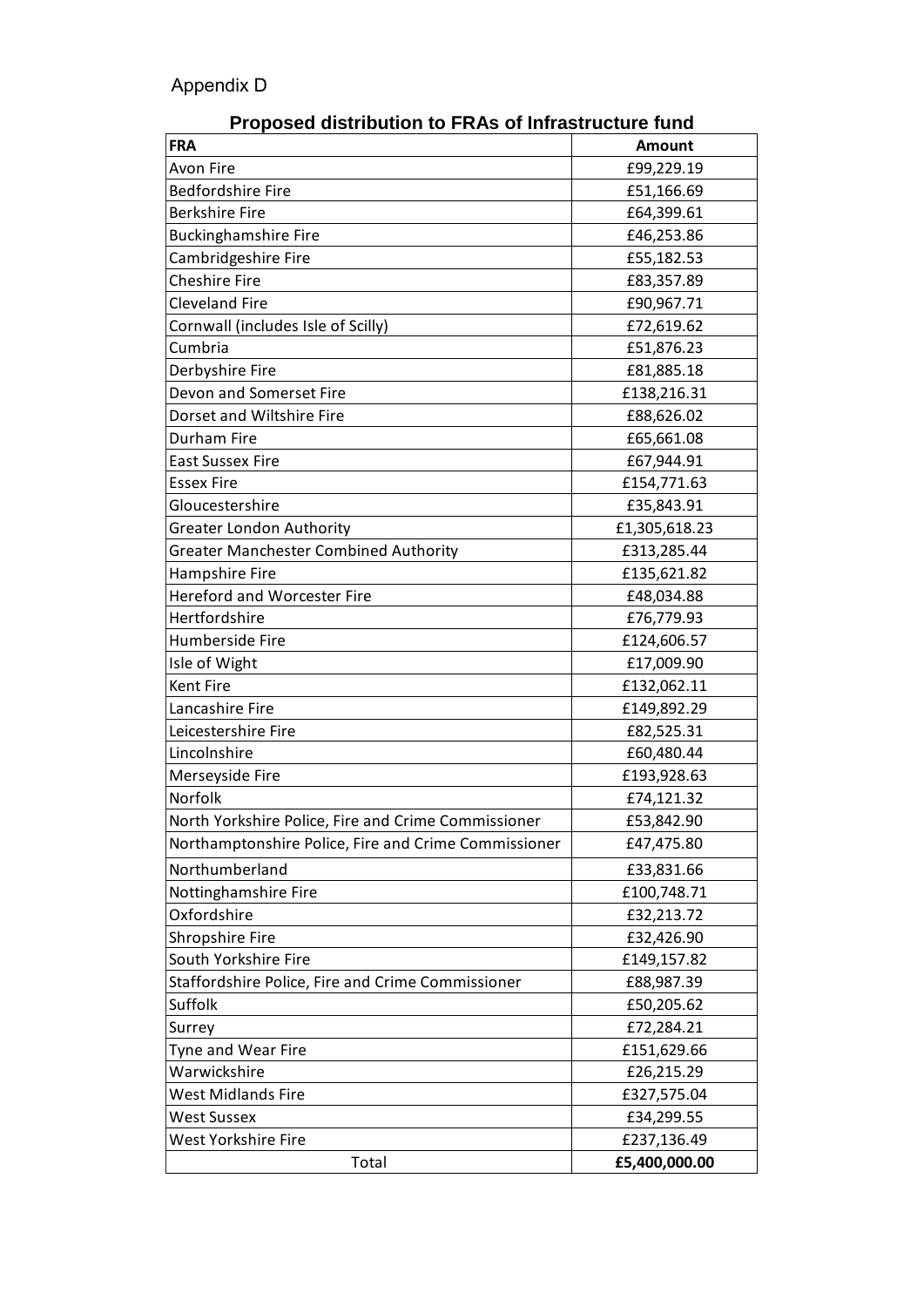| Proposed distribution to FRAS of initiastructure fund |               |  |  |
|-------------------------------------------------------|---------------|--|--|
| <b>FRA</b>                                            | <b>Amount</b> |  |  |
| <b>Avon Fire</b>                                      | £99,229.19    |  |  |
| <b>Bedfordshire Fire</b>                              | £51,166.69    |  |  |
| <b>Berkshire Fire</b>                                 | £64,399.61    |  |  |
| <b>Buckinghamshire Fire</b>                           | £46,253.86    |  |  |
| Cambridgeshire Fire                                   | £55,182.53    |  |  |
| <b>Cheshire Fire</b>                                  | £83,357.89    |  |  |
| <b>Cleveland Fire</b>                                 | £90,967.71    |  |  |
| Cornwall (includes Isle of Scilly)                    | £72,619.62    |  |  |
| Cumbria                                               | £51,876.23    |  |  |
| Derbyshire Fire                                       | £81,885.18    |  |  |
| Devon and Somerset Fire                               | £138,216.31   |  |  |
| Dorset and Wiltshire Fire                             | £88,626.02    |  |  |
| Durham Fire                                           | £65,661.08    |  |  |
| <b>East Sussex Fire</b>                               | £67,944.91    |  |  |
| <b>Essex Fire</b>                                     | £154,771.63   |  |  |
| Gloucestershire                                       | £35,843.91    |  |  |
| <b>Greater London Authority</b>                       | £1,305,618.23 |  |  |
| Greater Manchester Combined Authority                 | £313,285.44   |  |  |
| Hampshire Fire                                        | £135,621.82   |  |  |
| <b>Hereford and Worcester Fire</b>                    | £48,034.88    |  |  |
| Hertfordshire                                         | £76,779.93    |  |  |
| Humberside Fire                                       | £124,606.57   |  |  |
| Isle of Wight                                         | £17,009.90    |  |  |
| <b>Kent Fire</b>                                      | £132,062.11   |  |  |
| Lancashire Fire                                       | £149,892.29   |  |  |
| Leicestershire Fire                                   | £82,525.31    |  |  |
| Lincolnshire                                          | £60,480.44    |  |  |
| Merseyside Fire                                       | £193,928.63   |  |  |
| Norfolk                                               | £74,121.32    |  |  |
| North Yorkshire Police, Fire and Crime Commissioner   | £53,842.90    |  |  |
| Northamptonshire Police, Fire and Crime Commissioner  | £47,475.80    |  |  |
|                                                       |               |  |  |
| Northumberland                                        | £33,831.66    |  |  |
| Nottinghamshire Fire                                  | £100,748.71   |  |  |
| Oxfordshire                                           | £32,213.72    |  |  |
| Shropshire Fire                                       | £32,426.90    |  |  |
| South Yorkshire Fire                                  | £149,157.82   |  |  |
| Staffordshire Police, Fire and Crime Commissioner     | £88,987.39    |  |  |
| Suffolk                                               | £50,205.62    |  |  |
| Surrey                                                | £72,284.21    |  |  |
| Tyne and Wear Fire                                    | £151,629.66   |  |  |
| Warwickshire                                          | £26,215.29    |  |  |
| West Midlands Fire                                    | £327,575.04   |  |  |
| West Sussex                                           | £34,299.55    |  |  |
| West Yorkshire Fire                                   | £237,136.49   |  |  |
| Total                                                 | £5,400,000.00 |  |  |

#### **Proposed distribution to FRAs of Infrastructure fund**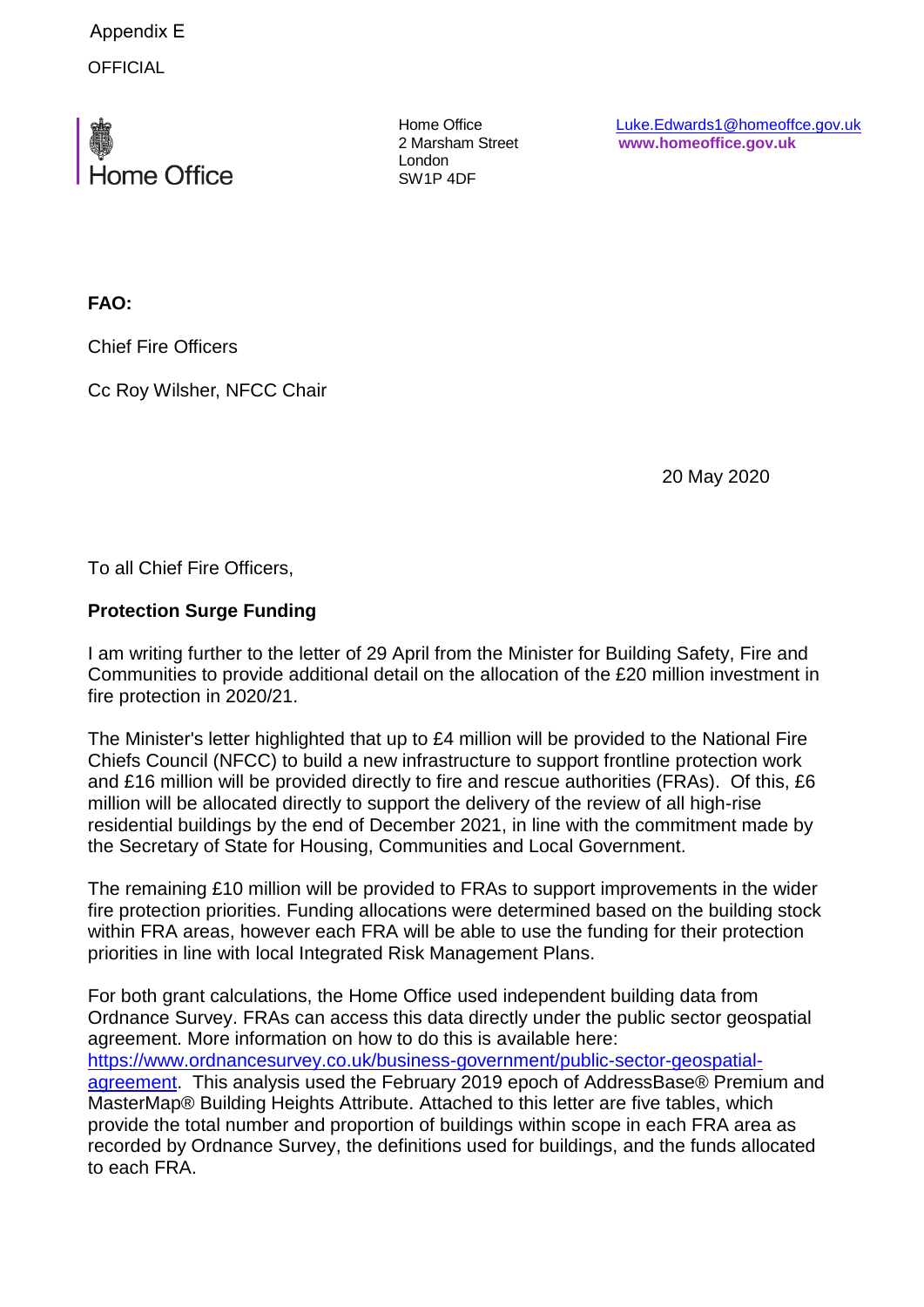**OFFICIAL** Appendix E



Home Office 2 Marsham Street London SW1P 4DF

Luke.Edwards1@homeoffce.gov.uk **www.homeoffice.gov.uk**

**FAO:**

Chief Fire Officers

Cc Roy Wilsher, NFCC Chair

20 May 2020

To all Chief Fire Officers,

### **Protection Surge Funding**

I am writing further to the letter of 29 April from the Minister for Building Safety, Fire and Communities to provide additional detail on the allocation of the £20 million investment in fire protection in 2020/21.

The Minister's letter highlighted that up to £4 million will be provided to the National Fire Chiefs Council (NFCC) to build a new infrastructure to support frontline protection work and £16 million will be provided directly to fire and rescue authorities (FRAs). Of this, £6 million will be allocated directly to support the delivery of the review of all high-rise residential buildings by the end of December 2021, in line with the commitment made by the Secretary of State for Housing, Communities and Local Government.

The remaining £10 million will be provided to FRAs to support improvements in the wider fire protection priorities. Funding allocations were determined based on the building stock within FRA areas, however each FRA will be able to use the funding for their protection priorities in line with local Integrated Risk Management Plans.

For both grant calculations, the Home Office used independent building data from Ordnance Survey. FRAs can access this data directly under the public sector geospatial agreement. More information on how to do this is available here: [https://www.ordnancesurvey.co.uk/business-government/public-sector-geospatial](https://www.ordnancesurvey.co.uk/business-government/public-sector-geospatial-agreement)[agreement.](https://www.ordnancesurvey.co.uk/business-government/public-sector-geospatial-agreement) This analysis used the February 2019 epoch of AddressBase® Premium and MasterMap® Building Heights Attribute. Attached to this letter are five tables, which provide the total number and proportion of buildings within scope in each FRA area as recorded by Ordnance Survey, the definitions used for buildings, and the funds allocated to each FRA.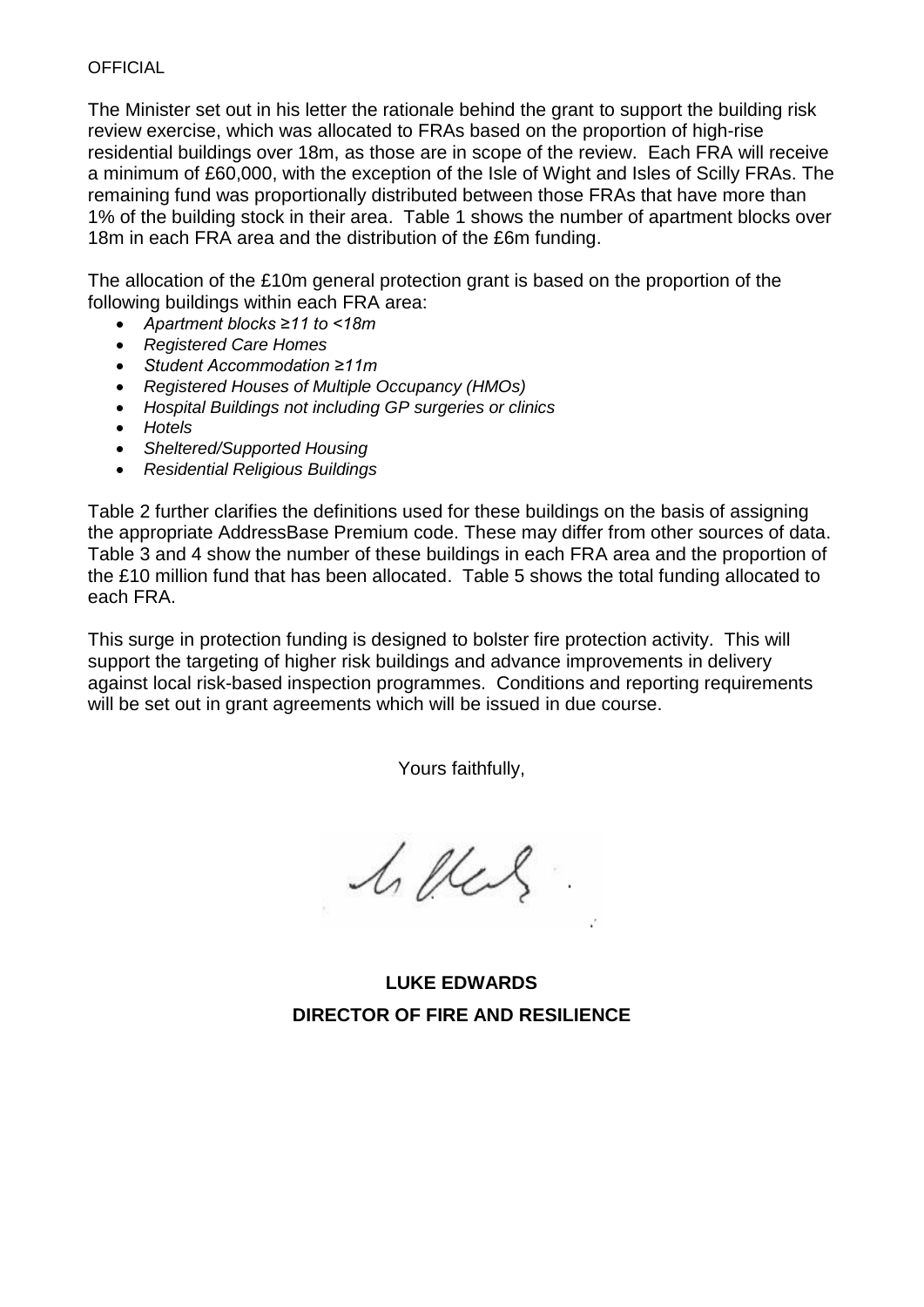The Minister set out in his letter the rationale behind the grant to support the building risk review exercise, which was allocated to FRAs based on the proportion of high-rise residential buildings over 18m, as those are in scope of the review. Each FRA will receive a minimum of £60,000, with the exception of the Isle of Wight and Isles of Scilly FRAs. The remaining fund was proportionally distributed between those FRAs that have more than 1% of the building stock in their area. Table 1 shows the number of apartment blocks over 18m in each FRA area and the distribution of the £6m funding.

The allocation of the £10m general protection grant is based on the proportion of the following buildings within each FRA area:

- *Apartment blocks ≥11 to <18m*
- *Registered Care Homes*
- *Student Accommodation ≥11m*
- *Registered Houses of Multiple Occupancy (HMOs)*
- *Hospital Buildings not including GP surgeries or clinics*
- *Hotels*
- *Sheltered/Supported Housing*
- *Residential Religious Buildings*

[Table 2](#page-21-0) further clarifies the definitions used for these buildings on the basis of assigning the appropriate AddressBase Premium code. These may differ from other sources of data. [Table 3](#page-24-0) and 4 show the number of these buildings in each FRA area and the proportion of the £10 million fund that has been allocated. Table 5 shows the total funding allocated to each FRA.

This surge in protection funding is designed to bolster fire protection activity. This will support the targeting of higher risk buildings and advance improvements in delivery against local risk-based inspection programmes. Conditions and reporting requirements will be set out in grant agreements which will be issued in due course.

Yours faithfully,

1. Ver

**LUKE EDWARDS DIRECTOR OF FIRE AND RESILIENCE**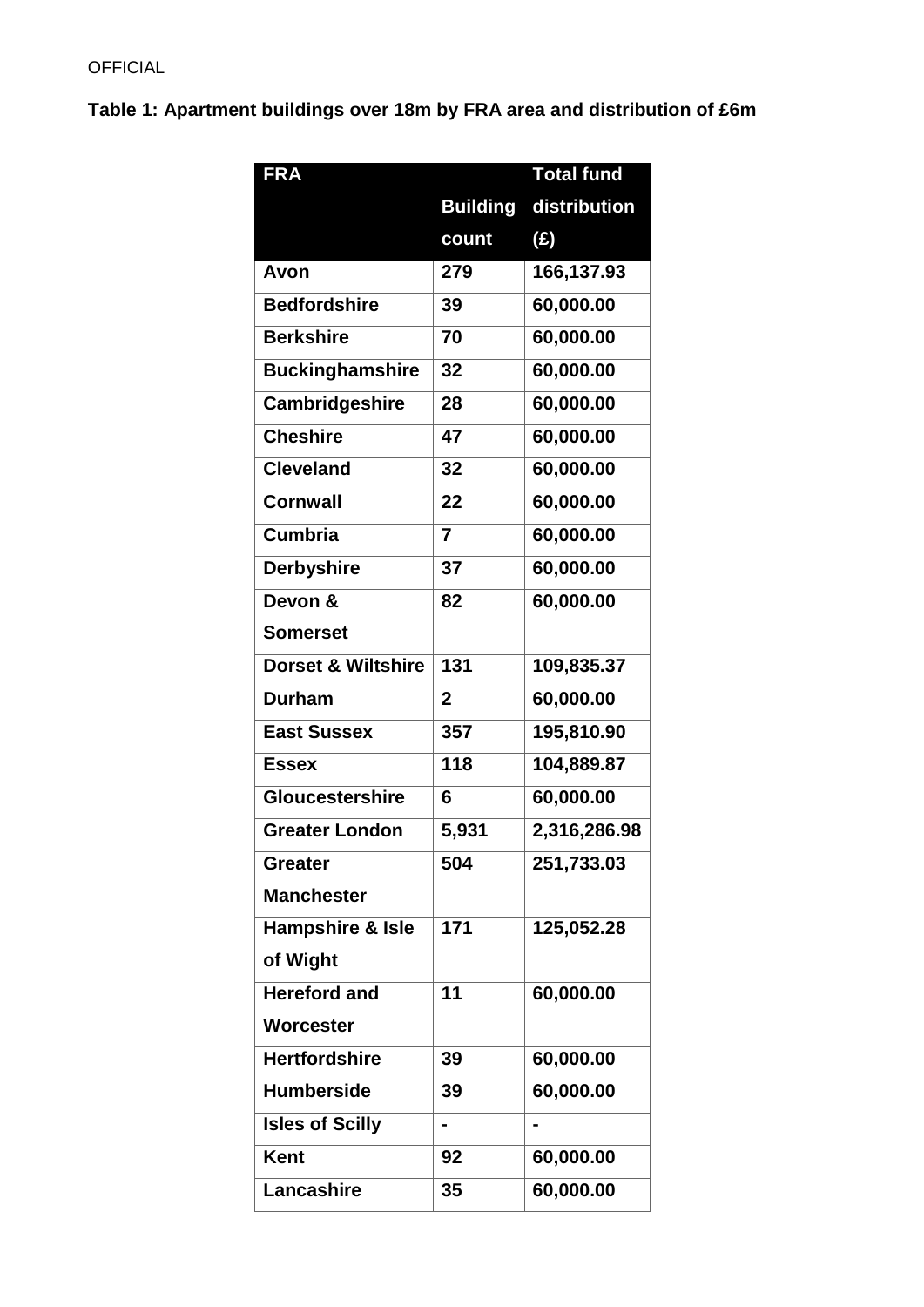# **Table 1: Apartment buildings over 18m by FRA area and distribution of £6m**

| <b>FRA</b>                    |                 | <b>Total fund</b> |
|-------------------------------|-----------------|-------------------|
|                               | <b>Building</b> | distribution      |
|                               | count           | $(\hat{z})$       |
| Avon                          | 279             | 166,137.93        |
| <b>Bedfordshire</b>           | 39              | 60,000.00         |
| <b>Berkshire</b>              | 70              | 60,000.00         |
| <b>Buckinghamshire</b>        | 32              | 60,000.00         |
| Cambridgeshire                | 28              | 60,000.00         |
| <b>Cheshire</b>               | 47              | 60,000.00         |
| <b>Cleveland</b>              | 32              | 60,000.00         |
| <b>Cornwall</b>               | 22              | 60,000.00         |
| <b>Cumbria</b>                | $\overline{7}$  | 60,000.00         |
| <b>Derbyshire</b>             | 37              | 60,000.00         |
| Devon &                       | 82              | 60,000.00         |
| <b>Somerset</b>               |                 |                   |
| <b>Dorset &amp; Wiltshire</b> | 131             | 109,835.37        |
| <b>Durham</b>                 | $\overline{2}$  | 60,000.00         |
| <b>East Sussex</b>            | 357             | 195,810.90        |
| <b>Essex</b>                  | 118             | 104,889.87        |
| <b>Gloucestershire</b>        | 6               | 60,000.00         |
| <b>Greater London</b>         | 5,931           | 2,316,286.98      |
| <b>Greater</b>                | 504             | 251,733.03        |
| <b>Manchester</b>             |                 |                   |
| Hampshire & Isle              | 171             | 125,052.28        |
| of Wight                      |                 |                   |
| <b>Hereford and</b>           | 11              | 60,000.00         |
| Worcester                     |                 |                   |
| <b>Hertfordshire</b>          | 39              | 60,000.00         |
| <b>Humberside</b>             | 39              | 60,000.00         |
| <b>Isles of Scilly</b>        |                 |                   |
| <b>Kent</b>                   | 92              | 60,000.00         |
| <b>Lancashire</b>             | 35              | 60,000.00         |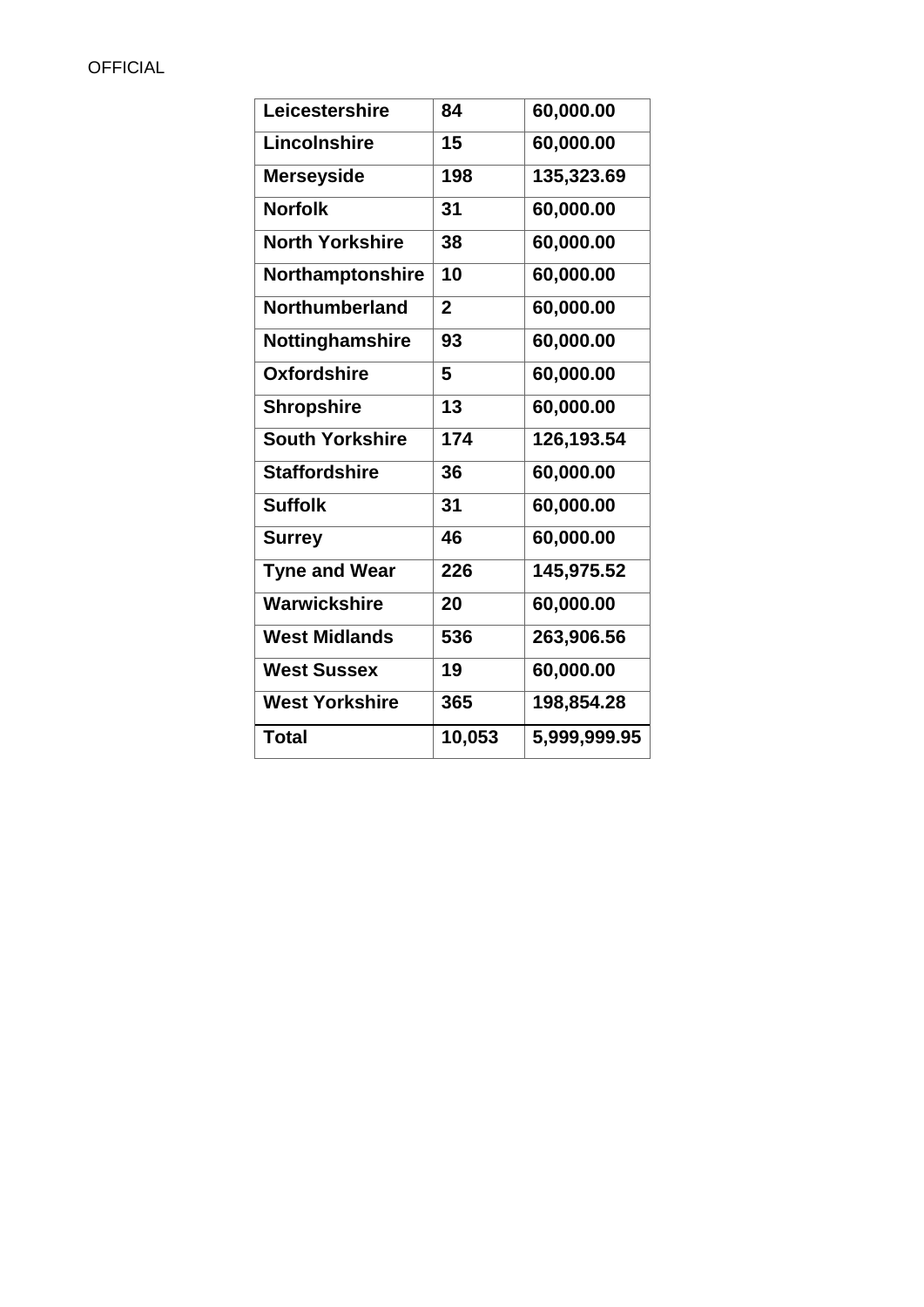<span id="page-21-0"></span>

| Leicestershire         | 84             | 60,000.00    |
|------------------------|----------------|--------------|
| Lincolnshire           | 15             | 60,000.00    |
| <b>Merseyside</b>      | 198            | 135,323.69   |
| <b>Norfolk</b>         | 31             | 60,000.00    |
| <b>North Yorkshire</b> | 38             | 60,000.00    |
| Northamptonshire       | 10             | 60,000.00    |
| Northumberland         | $\overline{2}$ | 60,000.00    |
| Nottinghamshire        | 93             | 60,000.00    |
| <b>Oxfordshire</b>     | 5              | 60,000.00    |
| <b>Shropshire</b>      | 13             | 60,000.00    |
| <b>South Yorkshire</b> | 174            | 126,193.54   |
| <b>Staffordshire</b>   | 36             | 60,000.00    |
| <b>Suffolk</b>         | 31             | 60,000.00    |
| <b>Surrey</b>          | 46             | 60,000.00    |
| <b>Tyne and Wear</b>   | 226            | 145,975.52   |
| Warwickshire           | 20             | 60,000.00    |
| <b>West Midlands</b>   | 536            | 263,906.56   |
| <b>West Sussex</b>     | 19             | 60,000.00    |
| <b>West Yorkshire</b>  | 365            | 198,854.28   |
| <b>Total</b>           | 10,053         | 5,999,999.95 |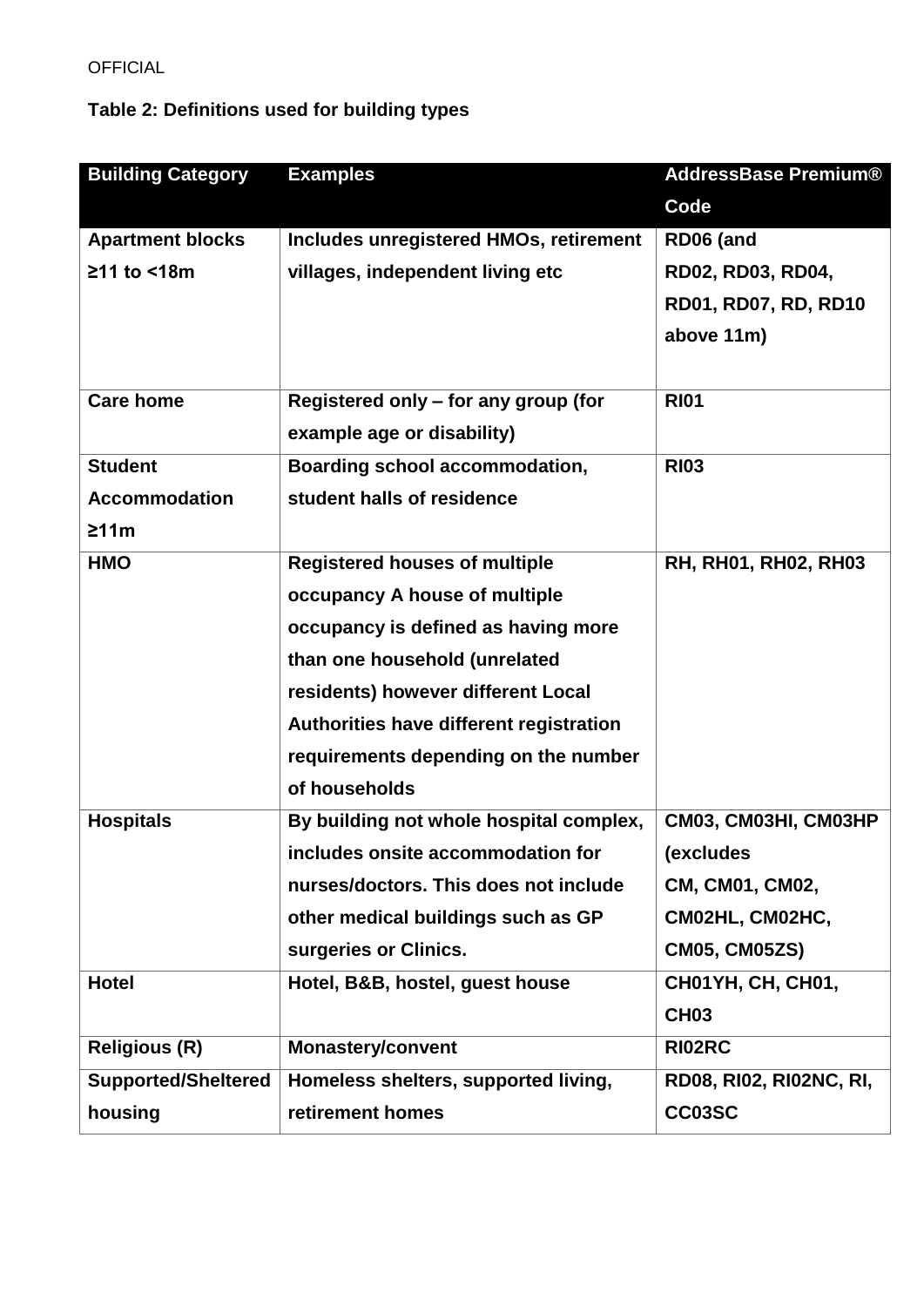# **Table 2: Definitions used for building types**

| <b>Building Category</b>   | <b>Examples</b>                               | <b>AddressBase Premium®</b>    |
|----------------------------|-----------------------------------------------|--------------------------------|
|                            |                                               | <b>Code</b>                    |
| <b>Apartment blocks</b>    | <b>Includes unregistered HMOs, retirement</b> | RD06 (and                      |
| ≥11 to <18m                | villages, independent living etc              | RD02, RD03, RD04,              |
|                            |                                               | RD01, RD07, RD, RD10           |
|                            |                                               | above 11m)                     |
|                            |                                               |                                |
| <b>Care home</b>           | Registered only - for any group (for          | <b>RI01</b>                    |
|                            | example age or disability)                    |                                |
| <b>Student</b>             | Boarding school accommodation,                | <b>RI03</b>                    |
| <b>Accommodation</b>       | student halls of residence                    |                                |
| ≥11m                       |                                               |                                |
| <b>HMO</b>                 | <b>Registered houses of multiple</b>          | RH, RH01, RH02, RH03           |
|                            | occupancy A house of multiple                 |                                |
|                            | occupancy is defined as having more           |                                |
|                            | than one household (unrelated                 |                                |
|                            | residents) however different Local            |                                |
|                            | Authorities have different registration       |                                |
|                            | requirements depending on the number          |                                |
|                            | of households                                 |                                |
| <b>Hospitals</b>           | By building not whole hospital complex,       | CM03, CM03HI, CM03HP           |
|                            | includes onsite accommodation for             | (excludes                      |
|                            | nurses/doctors. This does not include         | CM, CM01, CM02,                |
|                            | other medical buildings such as GP            | CM02HL, CM02HC,                |
|                            | surgeries or Clinics.                         | <b>CM05, CM05ZS)</b>           |
| <b>Hotel</b>               | Hotel, B&B, hostel, guest house               | <b>CH01YH, CH, CH01,</b>       |
|                            |                                               | <b>CH03</b>                    |
| <b>Religious (R)</b>       | <b>Monastery/convent</b>                      | RI02RC                         |
| <b>Supported/Sheltered</b> | Homeless shelters, supported living,          | <b>RD08, RI02, RI02NC, RI,</b> |
| housing                    | retirement homes                              | CC03SC                         |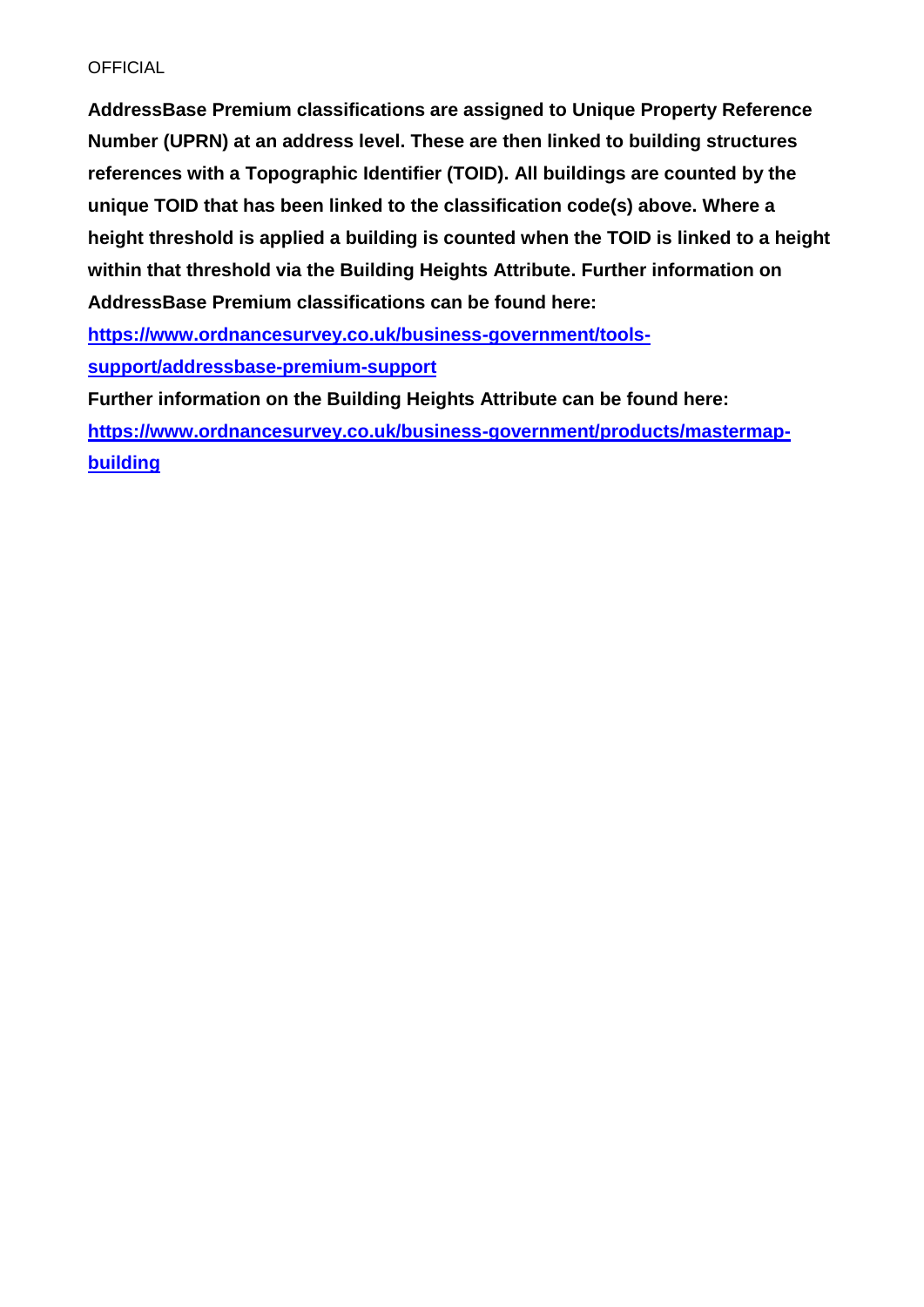**AddressBase Premium classifications are assigned to Unique Property Reference Number (UPRN) at an address level. These are then linked to building structures references with a Topographic Identifier (TOID). All buildings are counted by the unique TOID that has been linked to the classification code(s) above. Where a height threshold is applied a building is counted when the TOID is linked to a height within that threshold via the Building Heights Attribute. Further information on AddressBase Premium classifications can be found here:** 

**[https://www.ordnancesurvey.co.uk/business-government/tools-](https://www.ordnancesurvey.co.uk/business-government/tools-support/addressbase-premium-support)**

**[support/addressbase-premium-support](https://www.ordnancesurvey.co.uk/business-government/tools-support/addressbase-premium-support)**

**Further information on the Building Heights Attribute can be found here: [https://www.ordnancesurvey.co.uk/business-government/products/mastermap](https://www.ordnancesurvey.co.uk/business-government/products/mastermap-building)[building](https://www.ordnancesurvey.co.uk/business-government/products/mastermap-building)**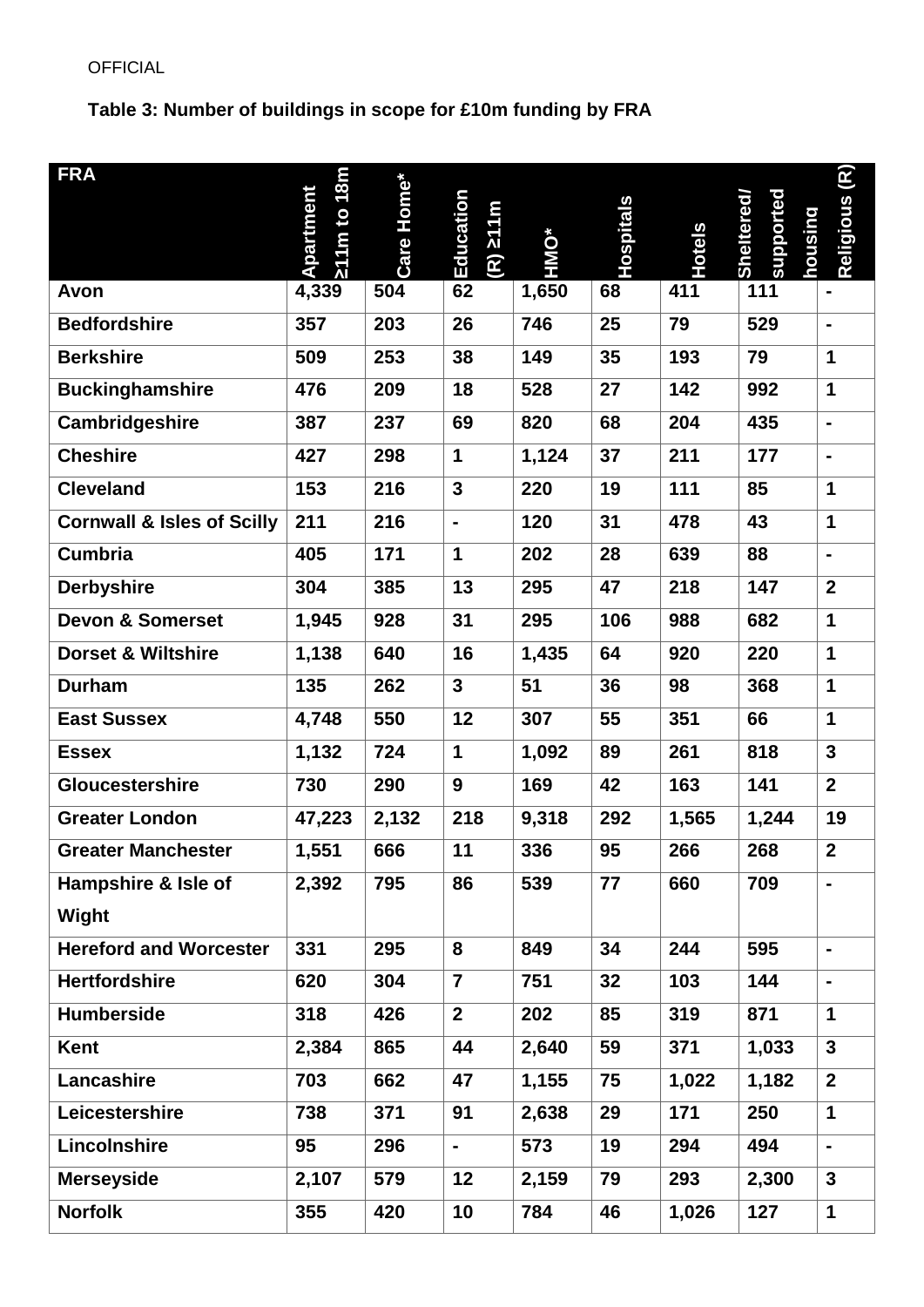# <span id="page-24-0"></span>**Table 3: Number of buildings in scope for £10m funding by FRA**

| <b>FRA</b>                            | 1m to 18m<br>Apartment        | Care Home* | Education<br>m <sub>1</sub> /5 (R) | HMO*  | Hospitals | <b>Hotels</b> | supported<br>Sheltered<br>housina | $\mathsf{(R)}$<br>Religious |
|---------------------------------------|-------------------------------|------------|------------------------------------|-------|-----------|---------------|-----------------------------------|-----------------------------|
| Avon                                  | $\overline{\lambda}$<br>4,339 | 504        | 62                                 | 1,650 | 68        | 411           | 111                               |                             |
| <b>Bedfordshire</b>                   | 357                           | 203        | 26                                 | 746   | 25        | 79            | 529                               | $\blacksquare$              |
| <b>Berkshire</b>                      | 509                           | 253        | 38                                 | 149   | 35        | 193           | 79                                | $\mathbf 1$                 |
| <b>Buckinghamshire</b>                | 476                           | 209        | 18                                 | 528   | 27        | 142           | 992                               | $\mathbf{1}$                |
| Cambridgeshire                        | 387                           | 237        | 69                                 | 820   | 68        | 204           | 435                               | $\blacksquare$              |
| <b>Cheshire</b>                       | 427                           | 298        | $\mathbf 1$                        | 1,124 | 37        | 211           | 177                               | $\blacksquare$              |
| <b>Cleveland</b>                      | 153                           | 216        | $\overline{\mathbf{3}}$            | 220   | 19        | 111           | 85                                | $\mathbf 1$                 |
| <b>Cornwall &amp; Isles of Scilly</b> | 211                           | 216        | $\blacksquare$                     | 120   | 31        | 478           | 43                                | $\mathbf 1$                 |
| <b>Cumbria</b>                        | 405                           | 171        | $\mathbf 1$                        | 202   | 28        | 639           | 88                                |                             |
| <b>Derbyshire</b>                     | 304                           | 385        | 13                                 | 295   | 47        | 218           | 147                               | $\mathbf{2}$                |
| <b>Devon &amp; Somerset</b>           | 1,945                         | 928        | 31                                 | 295   | 106       | 988           | 682                               | $\mathbf 1$                 |
| <b>Dorset &amp; Wiltshire</b>         | 1,138                         | 640        | 16                                 | 1,435 | 64        | 920           | 220                               | $\mathbf 1$                 |
| <b>Durham</b>                         | 135                           | 262        | $\mathbf{3}$                       | 51    | 36        | 98            | 368                               | $\mathbf 1$                 |
| <b>East Sussex</b>                    | 4,748                         | 550        | 12                                 | 307   | 55        | 351           | 66                                | $\mathbf 1$                 |
| <b>Essex</b>                          | 1,132                         | 724        | $\mathbf 1$                        | 1,092 | 89        | 261           | 818                               | $\mathbf{3}$                |
| Gloucestershire                       | 730                           | 290        | 9                                  | 169   | 42        | 163           | 141                               | $\overline{2}$              |
| <b>Greater London</b>                 | 47,223                        | 2,132      | 218                                | 9,318 | 292       | 1,565         | 1,244                             | 19                          |
| <b>Greater Manchester</b>             | 1,551                         | 666        | 11                                 | 336   | 95        | 266           | 268                               | $\boldsymbol{2}$            |
| Hampshire & Isle of                   | 2,392                         | 795        | 86                                 | 539   | 77        | 660           | 709                               | $\blacksquare$              |
| Wight                                 |                               |            |                                    |       |           |               |                                   |                             |
| <b>Hereford and Worcester</b>         | 331                           | 295        | 8                                  | 849   | 34        | 244           | 595                               | $\blacksquare$              |
| <b>Hertfordshire</b>                  | 620                           | 304        | $\overline{7}$                     | 751   | 32        | 103           | 144                               | $\blacksquare$              |
| <b>Humberside</b>                     | 318                           | 426        | $\mathbf{2}$                       | 202   | 85        | 319           | 871                               | $\mathbf 1$                 |
| Kent                                  | 2,384                         | 865        | 44                                 | 2,640 | 59        | 371           | 1,033                             | $\mathbf{3}$                |
| Lancashire                            | 703                           | 662        | 47                                 | 1,155 | 75        | 1,022         | 1,182                             | $\overline{2}$              |
| Leicestershire                        | 738                           | 371        | 91                                 | 2,638 | 29        | 171           | 250                               | 1                           |
| Lincolnshire                          | 95                            | 296        | $\blacksquare$                     | 573   | 19        | 294           | 494                               | $\blacksquare$              |
| <b>Merseyside</b>                     | 2,107                         | 579        | 12                                 | 2,159 | 79        | 293           | 2,300                             | $\mathbf{3}$                |
| <b>Norfolk</b>                        | 355                           | 420        | 10                                 | 784   | 46        | 1,026         | 127                               | $\mathbf{1}$                |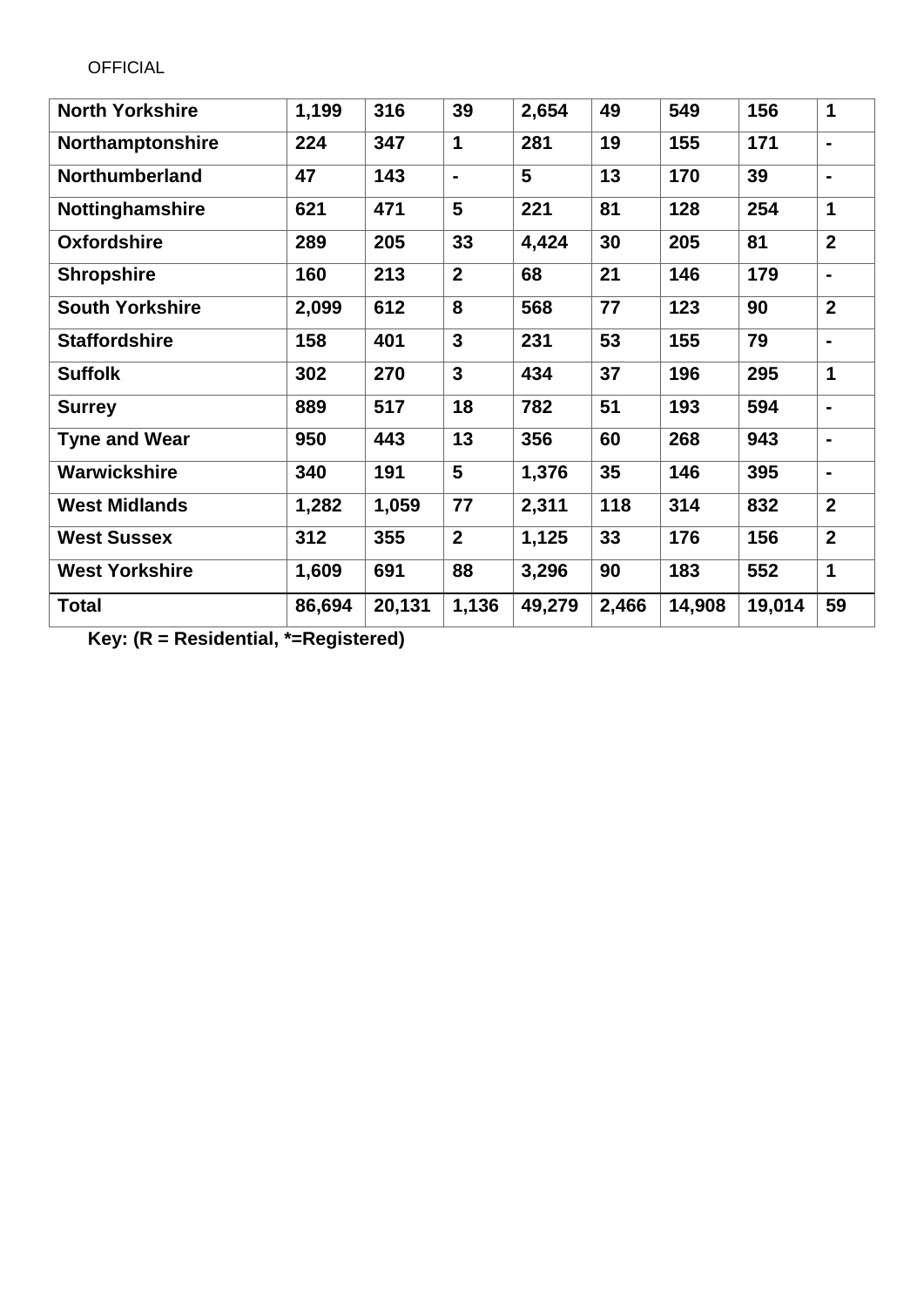| <b>North Yorkshire</b> | 1,199  | 316    | 39                      | 2,654  | 49    | 549    | 156    | 1                            |
|------------------------|--------|--------|-------------------------|--------|-------|--------|--------|------------------------------|
| Northamptonshire       | 224    | 347    | 1                       | 281    | 19    | 155    | 171    | -                            |
| <b>Northumberland</b>  | 47     | 143    | $\blacksquare$          | 5      | 13    | 170    | 39     | $\blacksquare$               |
| Nottinghamshire        | 621    | 471    | 5                       | 221    | 81    | 128    | 254    | $\mathbf 1$                  |
| <b>Oxfordshire</b>     | 289    | 205    | 33                      | 4,424  | 30    | 205    | 81     | $\overline{2}$               |
| <b>Shropshire</b>      | 160    | 213    | $\overline{2}$          | 68     | 21    | 146    | 179    | $\qquad \qquad \blacksquare$ |
| <b>South Yorkshire</b> | 2,099  | 612    | 8                       | 568    | 77    | 123    | 90     | $\overline{2}$               |
| <b>Staffordshire</b>   | 158    | 401    | 3                       | 231    | 53    | 155    | 79     | $\blacksquare$               |
| <b>Suffolk</b>         | 302    | 270    | $\overline{\mathbf{3}}$ | 434    | 37    | 196    | 295    | 1                            |
| <b>Surrey</b>          | 889    | 517    | 18                      | 782    | 51    | 193    | 594    | $\blacksquare$               |
| <b>Tyne and Wear</b>   | 950    | 443    | 13                      | 356    | 60    | 268    | 943    | $\blacksquare$               |
| Warwickshire           | 340    | 191    | 5                       | 1,376  | 35    | 146    | 395    | -                            |
| <b>West Midlands</b>   | 1,282  | 1,059  | 77                      | 2,311  | 118   | 314    | 832    | $\overline{2}$               |
| <b>West Sussex</b>     | 312    | 355    | $\overline{2}$          | 1,125  | 33    | 176    | 156    | $\overline{2}$               |
| <b>West Yorkshire</b>  | 1,609  | 691    | 88                      | 3,296  | 90    | 183    | 552    | 1                            |
| <b>Total</b>           | 86,694 | 20,131 | 1,136                   | 49,279 | 2,466 | 14,908 | 19,014 | 59                           |

**Key: (R = Residential, \*=Registered)**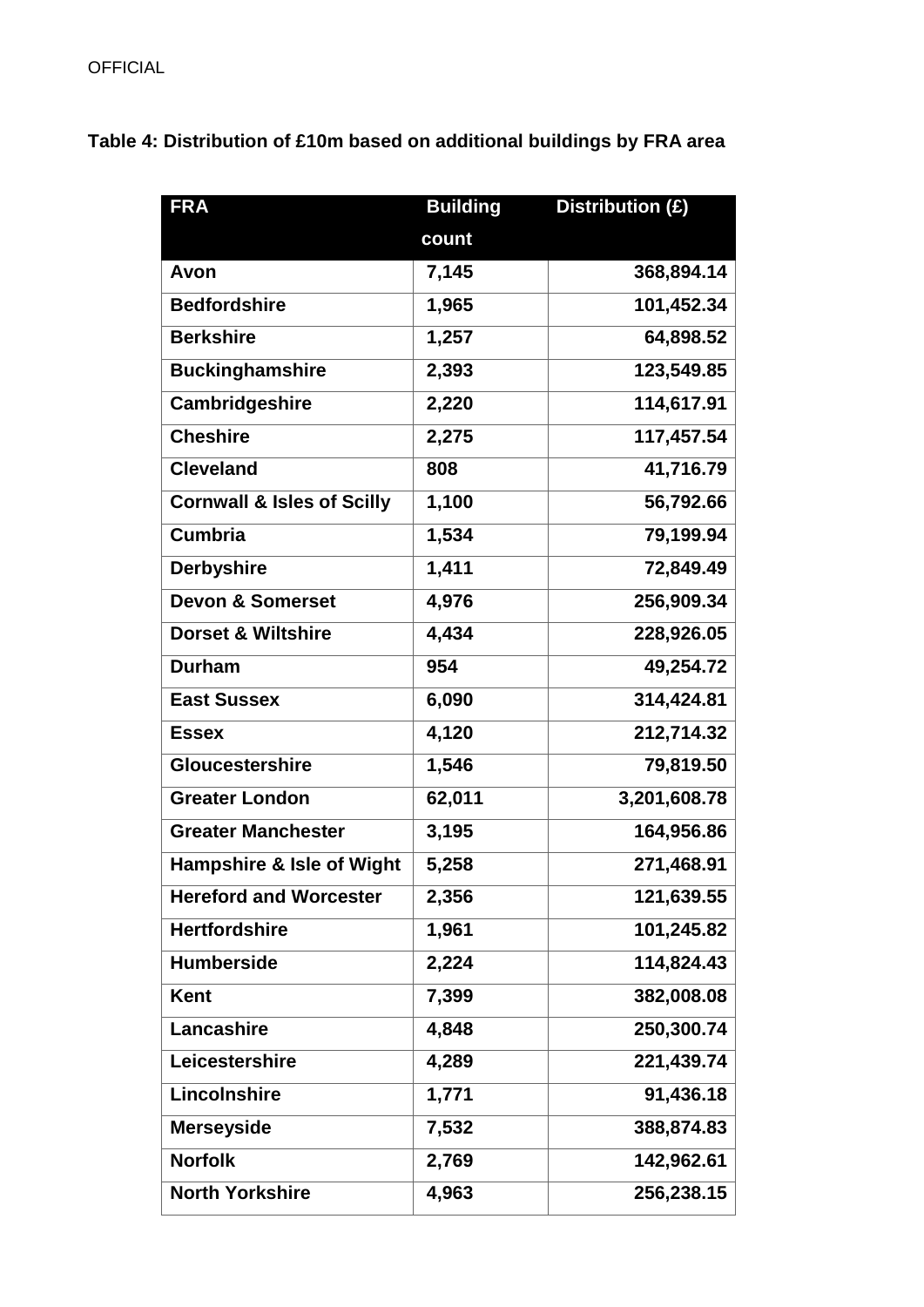**Table 4: Distribution of £10m based on additional buildings by FRA area**

| <b>FRA</b>                            | <b>Building</b> | Distribution (£) |
|---------------------------------------|-----------------|------------------|
|                                       | count           |                  |
| Avon                                  | 7,145           | 368,894.14       |
| <b>Bedfordshire</b>                   | 1,965           | 101,452.34       |
| <b>Berkshire</b>                      | 1,257           | 64,898.52        |
| <b>Buckinghamshire</b>                | 2,393           | 123,549.85       |
| Cambridgeshire                        | 2,220           | 114,617.91       |
| <b>Cheshire</b>                       | 2,275           | 117,457.54       |
| <b>Cleveland</b>                      | 808             | 41,716.79        |
| <b>Cornwall &amp; Isles of Scilly</b> | 1,100           | 56,792.66        |
| <b>Cumbria</b>                        | 1,534           | 79,199.94        |
| <b>Derbyshire</b>                     | 1,411           | 72,849.49        |
| <b>Devon &amp; Somerset</b>           | 4,976           | 256,909.34       |
| <b>Dorset &amp; Wiltshire</b>         | 4,434           | 228,926.05       |
| <b>Durham</b>                         | 954             | 49,254.72        |
| <b>East Sussex</b>                    | 6,090           | 314,424.81       |
| <b>Essex</b>                          | 4,120           | 212,714.32       |
| <b>Gloucestershire</b>                | 1,546           | 79,819.50        |
| <b>Greater London</b>                 | 62,011          | 3,201,608.78     |
| <b>Greater Manchester</b>             | 3,195           | 164,956.86       |
| <b>Hampshire &amp; Isle of Wight</b>  | 5,258           | 271,468.91       |
| <b>Hereford and Worcester</b>         | 2,356           | 121,639.55       |
| <b>Hertfordshire</b>                  | 1,961           | 101,245.82       |
| <b>Humberside</b>                     | 2,224           | 114,824.43       |
| <b>Kent</b>                           | 7,399           | 382,008.08       |
| Lancashire                            | 4,848           | 250,300.74       |
| Leicestershire                        | 4,289           | 221,439.74       |
| Lincolnshire                          | 1,771           | 91,436.18        |
| <b>Merseyside</b>                     | 7,532           | 388,874.83       |
| <b>Norfolk</b>                        | 2,769           | 142,962.61       |
| <b>North Yorkshire</b>                | 4,963           | 256,238.15       |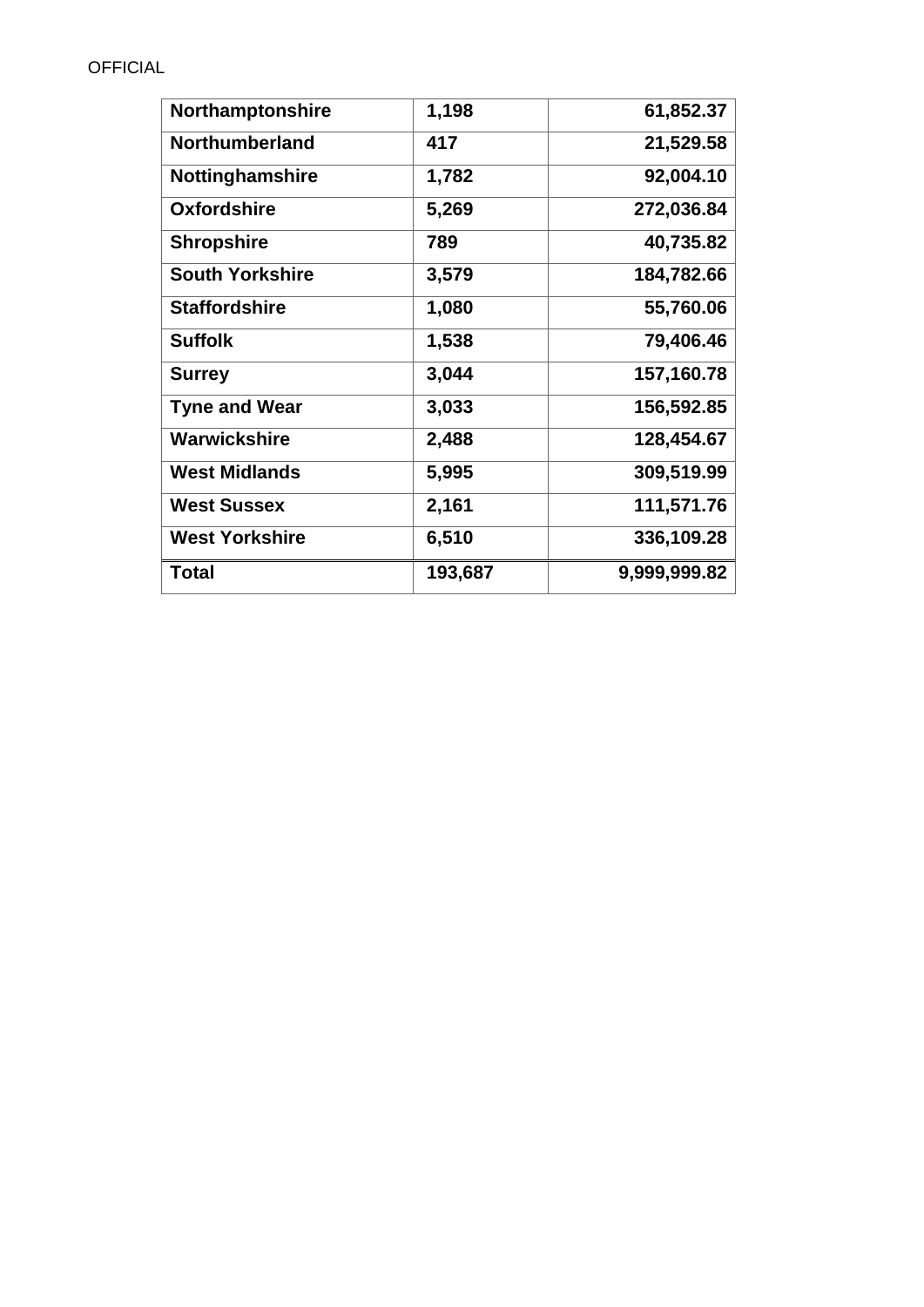| Northamptonshire       | 1,198   | 61,852.37    |
|------------------------|---------|--------------|
| <b>Northumberland</b>  | 417     | 21,529.58    |
| <b>Nottinghamshire</b> | 1,782   | 92,004.10    |
| <b>Oxfordshire</b>     | 5,269   | 272,036.84   |
| <b>Shropshire</b>      | 789     | 40,735.82    |
| <b>South Yorkshire</b> | 3,579   | 184,782.66   |
| <b>Staffordshire</b>   | 1,080   | 55,760.06    |
| <b>Suffolk</b>         | 1,538   | 79,406.46    |
| <b>Surrey</b>          | 3,044   | 157,160.78   |
| <b>Tyne and Wear</b>   | 3,033   | 156,592.85   |
| Warwickshire           | 2,488   | 128,454.67   |
| <b>West Midlands</b>   | 5,995   | 309,519.99   |
| <b>West Sussex</b>     | 2,161   | 111,571.76   |
| <b>West Yorkshire</b>  | 6,510   | 336,109.28   |
| Total                  | 193,687 | 9,999,999.82 |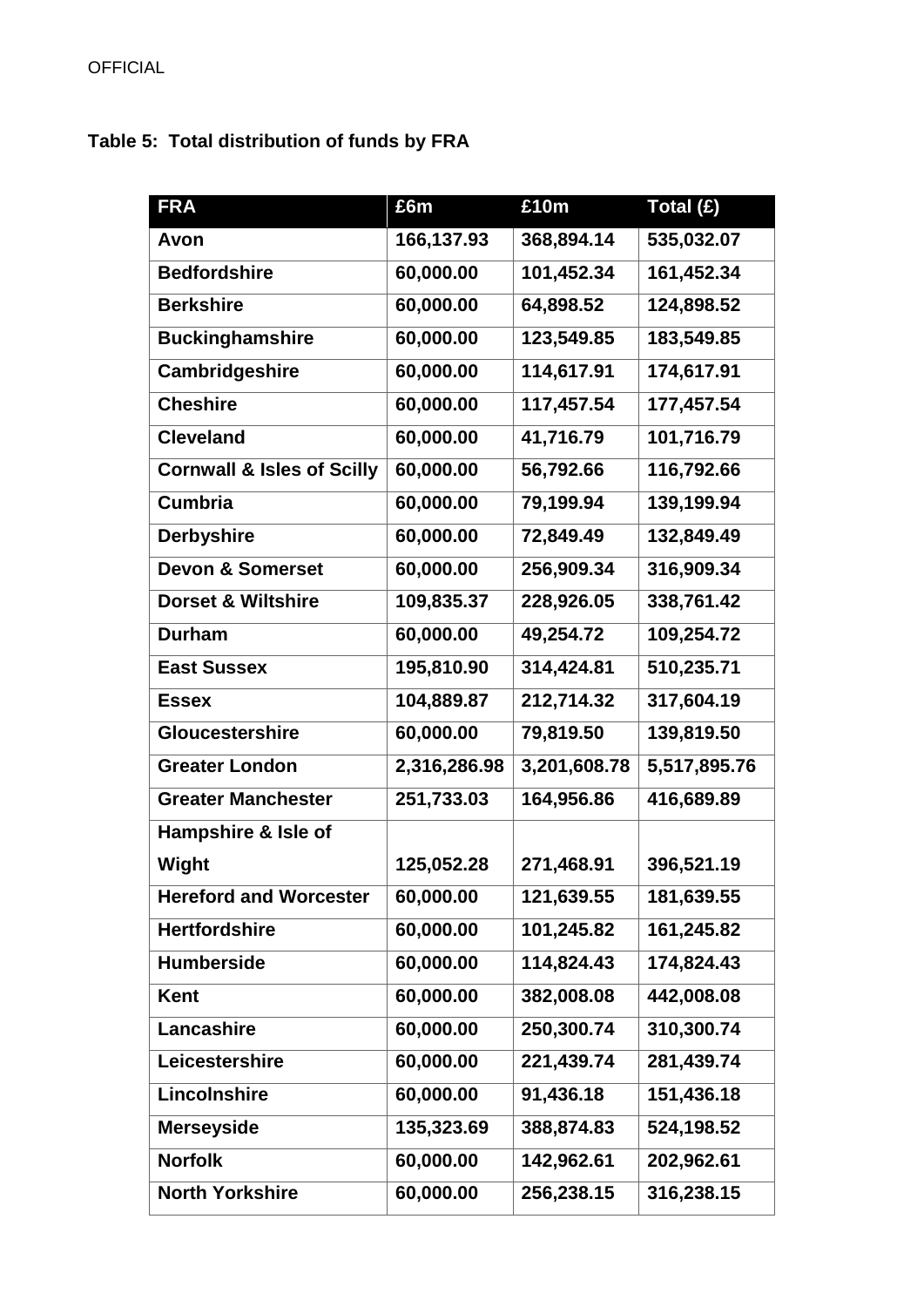# **Table 5: Total distribution of funds by FRA**

| <b>FRA</b>                            | £6m          | £10m         | Total (£)    |
|---------------------------------------|--------------|--------------|--------------|
| Avon                                  | 166,137.93   | 368,894.14   | 535,032.07   |
| <b>Bedfordshire</b>                   | 60,000.00    | 101,452.34   | 161,452.34   |
| <b>Berkshire</b>                      | 60,000.00    | 64,898.52    | 124,898.52   |
| <b>Buckinghamshire</b>                | 60,000.00    | 123,549.85   | 183,549.85   |
| Cambridgeshire                        | 60,000.00    | 114,617.91   | 174,617.91   |
| <b>Cheshire</b>                       | 60,000.00    | 117,457.54   | 177,457.54   |
| <b>Cleveland</b>                      | 60,000.00    | 41,716.79    | 101,716.79   |
| <b>Cornwall &amp; Isles of Scilly</b> | 60,000.00    | 56,792.66    | 116,792.66   |
| <b>Cumbria</b>                        | 60,000.00    | 79,199.94    | 139,199.94   |
| <b>Derbyshire</b>                     | 60,000.00    | 72,849.49    | 132,849.49   |
| <b>Devon &amp; Somerset</b>           | 60,000.00    | 256,909.34   | 316,909.34   |
| <b>Dorset &amp; Wiltshire</b>         | 109,835.37   | 228,926.05   | 338,761.42   |
| <b>Durham</b>                         | 60,000.00    | 49,254.72    | 109,254.72   |
| <b>East Sussex</b>                    | 195,810.90   | 314,424.81   | 510,235.71   |
| <b>Essex</b>                          | 104,889.87   | 212,714.32   | 317,604.19   |
| <b>Gloucestershire</b>                | 60,000.00    | 79,819.50    | 139,819.50   |
| <b>Greater London</b>                 | 2,316,286.98 | 3,201,608.78 | 5,517,895.76 |
| <b>Greater Manchester</b>             | 251,733.03   | 164,956.86   | 416,689.89   |
| Hampshire & Isle of                   |              |              |              |
| <b>Wight</b>                          | 125,052.28   | 271,468.91   | 396,521.19   |
| <b>Hereford and Worcester</b>         | 60,000.00    | 121,639.55   | 181,639.55   |
| <b>Hertfordshire</b>                  | 60,000.00    | 101,245.82   | 161,245.82   |
| <b>Humberside</b>                     | 60,000.00    | 114,824.43   | 174,824.43   |
| <b>Kent</b>                           | 60,000.00    | 382,008.08   | 442,008.08   |
| Lancashire                            | 60,000.00    | 250,300.74   | 310,300.74   |
| Leicestershire                        | 60,000.00    | 221,439.74   | 281,439.74   |
| Lincolnshire                          | 60,000.00    | 91,436.18    | 151,436.18   |
| <b>Merseyside</b>                     | 135,323.69   | 388,874.83   | 524,198.52   |
| <b>Norfolk</b>                        | 60,000.00    | 142,962.61   | 202,962.61   |
| <b>North Yorkshire</b>                | 60,000.00    | 256,238.15   | 316,238.15   |